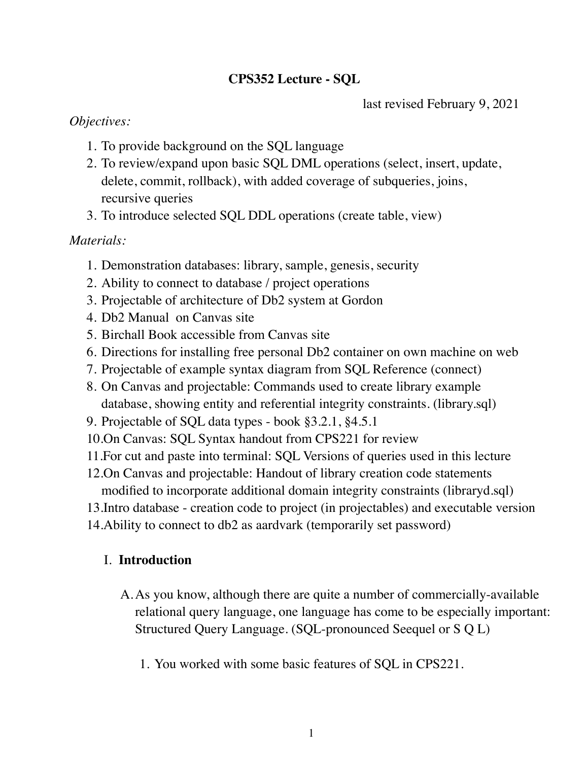# **CPS352 Lecture - SQL**

last revised February 9, 2021

## *Objectives:*

- 1. To provide background on the SQL language
- 2. To review/expand upon basic SQL DML operations (select, insert, update, delete, commit, rollback), with added coverage of subqueries, joins, recursive queries
- 3. To introduce selected SQL DDL operations (create table, view)

# *Materials:*

- 1. Demonstration databases: library, sample, genesis, security
- 2. Ability to connect to database / project operations
- 3. Projectable of architecture of Db2 system at Gordon
- 4. Db2 Manual on Canvas site
- 5. Birchall Book accessible from Canvas site
- 6. Directions for installing free personal Db2 container on own machine on web
- 7. Projectable of example syntax diagram from SQL Reference (connect)
- 8. On Canvas and projectable: Commands used to create library example database, showing entity and referential integrity constraints. (library.sql)
- 9. Projectable of SQL data types book §3.2.1, §4.5.1
- 10.On Canvas: SQL Syntax handout from CPS221 for review
- 11.For cut and paste into terminal: SQL Versions of queries used in this lecture
- 12.On Canvas and projectable: Handout of library creation code statements modified to incorporate additional domain integrity constraints (libraryd.sql)
- 13.Intro database creation code to project (in projectables) and executable version
- 14.Ability to connect to db2 as aardvark (temporarily set password)

# I. **Introduction**

- A.As you know, although there are quite a number of commercially-available relational query language, one language has come to be especially important: Structured Query Language. (SQL-pronounced Seequel or S Q L)
	- 1. You worked with some basic features of SQL in CPS221.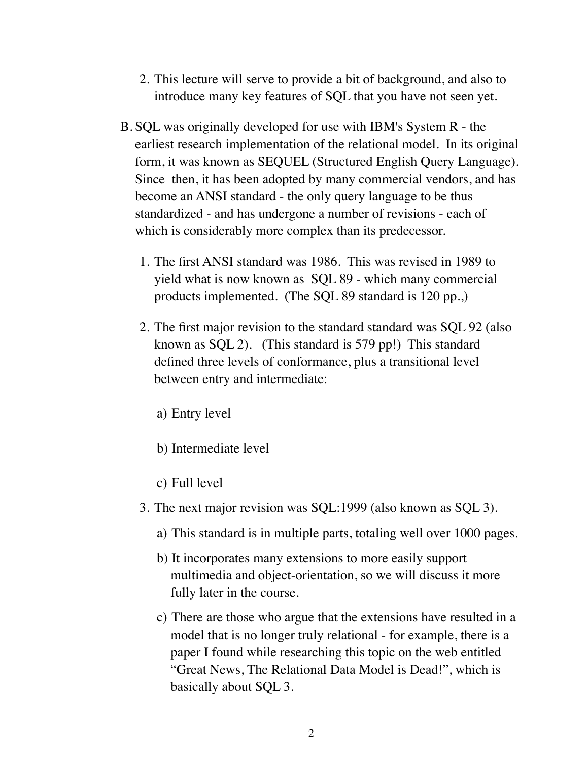- 2. This lecture will serve to provide a bit of background, and also to introduce many key features of SQL that you have not seen yet.
- B. SQL was originally developed for use with IBM's System R the earliest research implementation of the relational model. In its original form, it was known as SEQUEL (Structured English Query Language). Since then, it has been adopted by many commercial vendors, and has become an ANSI standard - the only query language to be thus standardized - and has undergone a number of revisions - each of which is considerably more complex than its predecessor.
	- 1. The first ANSI standard was 1986. This was revised in 1989 to yield what is now known as SQL 89 - which many commercial products implemented. (The SQL 89 standard is 120 pp.,)
	- 2. The first major revision to the standard standard was SQL 92 (also known as SQL 2). (This standard is 579 pp!) This standard defined three levels of conformance, plus a transitional level between entry and intermediate:
		- a) Entry level
		- b) Intermediate level
		- c) Full level
	- 3. The next major revision was SQL:1999 (also known as SQL 3).
		- a) This standard is in multiple parts, totaling well over 1000 pages.
		- b) It incorporates many extensions to more easily support multimedia and object-orientation, so we will discuss it more fully later in the course.
		- c) There are those who argue that the extensions have resulted in a model that is no longer truly relational - for example, there is a paper I found while researching this topic on the web entitled "Great News, The Relational Data Model is Dead!", which is basically about SQL 3.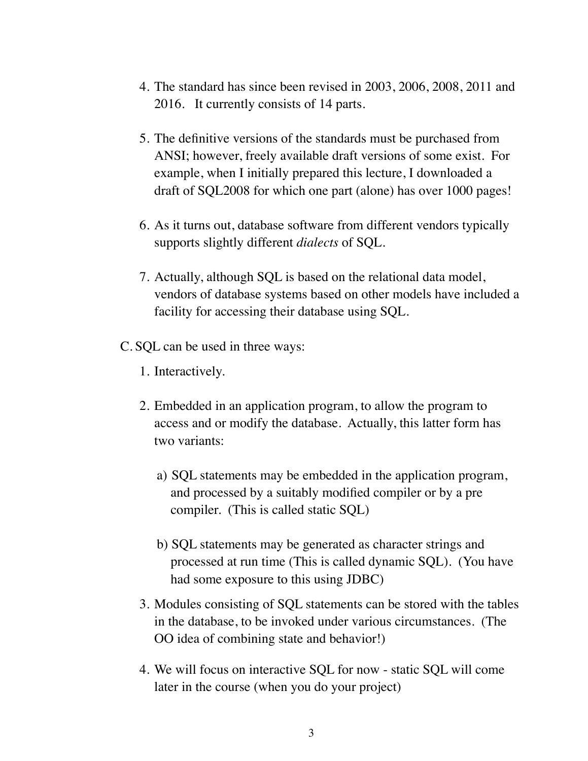- 4. The standard has since been revised in 2003, 2006, 2008, 2011 and 2016. It currently consists of 14 parts.
- 5. The definitive versions of the standards must be purchased from ANSI; however, freely available draft versions of some exist. For example, when I initially prepared this lecture, I downloaded a draft of SQL2008 for which one part (alone) has over 1000 pages!
- 6. As it turns out, database software from different vendors typically supports slightly different *dialects* of SQL.
- 7. Actually, although SQL is based on the relational data model, vendors of database systems based on other models have included a facility for accessing their database using SQL.
- C. SQL can be used in three ways:
	- 1. Interactively.
	- 2. Embedded in an application program, to allow the program to access and or modify the database. Actually, this latter form has two variants:
		- a) SQL statements may be embedded in the application program, and processed by a suitably modified compiler or by a pre compiler. (This is called static SQL)
		- b) SQL statements may be generated as character strings and processed at run time (This is called dynamic SQL). (You have had some exposure to this using JDBC)
	- 3. Modules consisting of SQL statements can be stored with the tables in the database, to be invoked under various circumstances. (The OO idea of combining state and behavior!)
	- 4. We will focus on interactive SQL for now static SQL will come later in the course (when you do your project)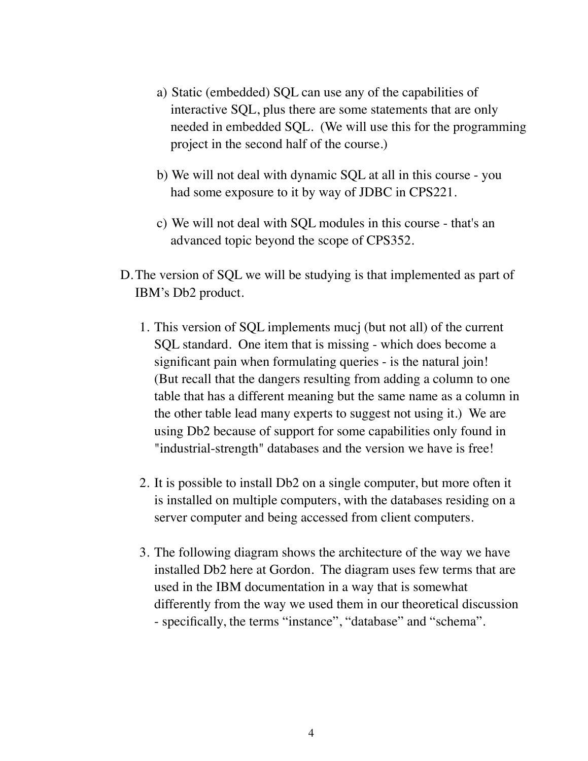- a) Static (embedded) SQL can use any of the capabilities of interactive SQL, plus there are some statements that are only needed in embedded SQL. (We will use this for the programming project in the second half of the course.)
- b) We will not deal with dynamic SQL at all in this course you had some exposure to it by way of JDBC in CPS221.
- c) We will not deal with SQL modules in this course that's an advanced topic beyond the scope of CPS352.
- D.The version of SQL we will be studying is that implemented as part of IBM's Db2 product.
	- 1. This version of SQL implements mucj (but not all) of the current SQL standard. One item that is missing - which does become a significant pain when formulating queries - is the natural join! (But recall that the dangers resulting from adding a column to one table that has a different meaning but the same name as a column in the other table lead many experts to suggest not using it.) We are using Db2 because of support for some capabilities only found in "industrial-strength" databases and the version we have is free!
	- 2. It is possible to install Db2 on a single computer, but more often it is installed on multiple computers, with the databases residing on a server computer and being accessed from client computers.
	- 3. The following diagram shows the architecture of the way we have installed Db2 here at Gordon. The diagram uses few terms that are used in the IBM documentation in a way that is somewhat differently from the way we used them in our theoretical discussion - specifically, the terms "instance", "database" and "schema".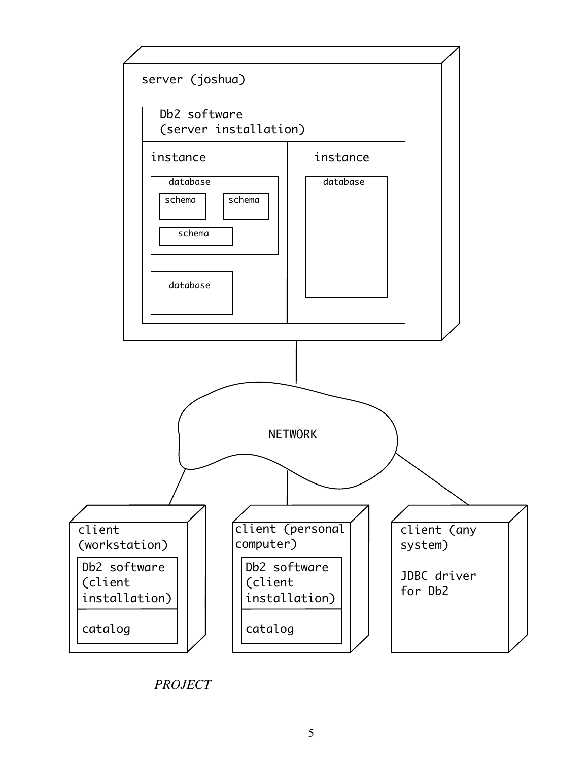

*PROJECT*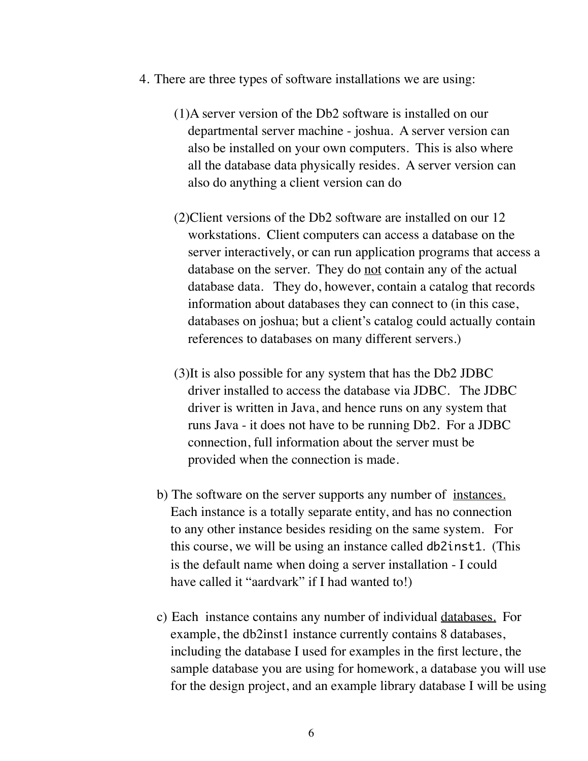- 4. There are three types of software installations we are using:
	- (1)A server version of the Db2 software is installed on our departmental server machine - joshua. A server version can also be installed on your own computers. This is also where all the database data physically resides. A server version can also do anything a client version can do
	- (2)Client versions of the Db2 software are installed on our 12 workstations. Client computers can access a database on the server interactively, or can run application programs that access a database on the server. They do not contain any of the actual database data. They do, however, contain a catalog that records information about databases they can connect to (in this case, databases on joshua; but a client's catalog could actually contain references to databases on many different servers.)
	- (3)It is also possible for any system that has the Db2 JDBC driver installed to access the database via JDBC. The JDBC driver is written in Java, and hence runs on any system that runs Java - it does not have to be running Db2. For a JDBC connection, full information about the server must be provided when the connection is made.
	- b) The software on the server supports any number of <u>instances.</u> Each instance is a totally separate entity, and has no connection to any other instance besides residing on the same system. For this course, we will be using an instance called db2inst1. (This is the default name when doing a server installation - I could have called it "aardvark" if I had wanted to!)
	- c) Each instance contains any number of individual databases. For example, the db2 instance currently contains 8 databases, including the database I used for examples in the first lecture, the sample database you are using for homework, a database you will use for the design project, and an example library database I will be using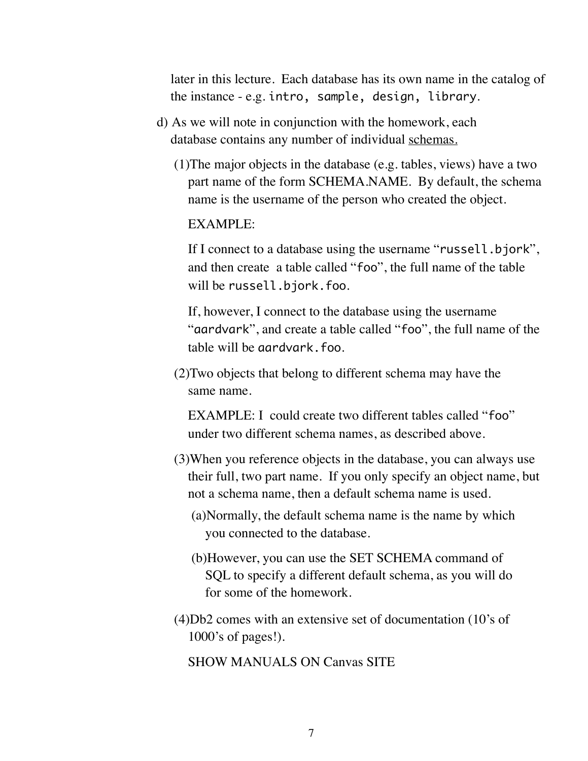later in this lecture. Each database has its own name in the catalog of the instance - e.g. intro, sample, design, library.

- d) As we will note in conjunction with the homework, each database contains any number of individual schemas.
	- (1)The major objects in the database (e.g. tables, views) have a two part name of the form SCHEMA.NAME. By default, the schema name is the username of the person who created the object.

#### EXAMPLE:

If I connect to a database using the username "russell.bjork", and then create a table called "foo", the full name of the table will be russell.bjork.foo.

If, however, I connect to the database using the username "aardvark", and create a table called "foo", the full name of the table will be aardvark.foo.

(2)Two objects that belong to different schema may have the same name.

EXAMPLE: I could create two different tables called "foo" under two different schema names, as described above.

- (3)When you reference objects in the database, you can always use their full, two part name. If you only specify an object name, but not a schema name, then a default schema name is used.
	- (a)Normally, the default schema name is the name by which you connected to the database.
	- (b)However, you can use the SET SCHEMA command of SQL to specify a different default schema, as you will do for some of the homework.
- (4)Db2 comes with an extensive set of documentation (10's of 1000's of pages!).

SHOW MANUALS ON Canvas SITE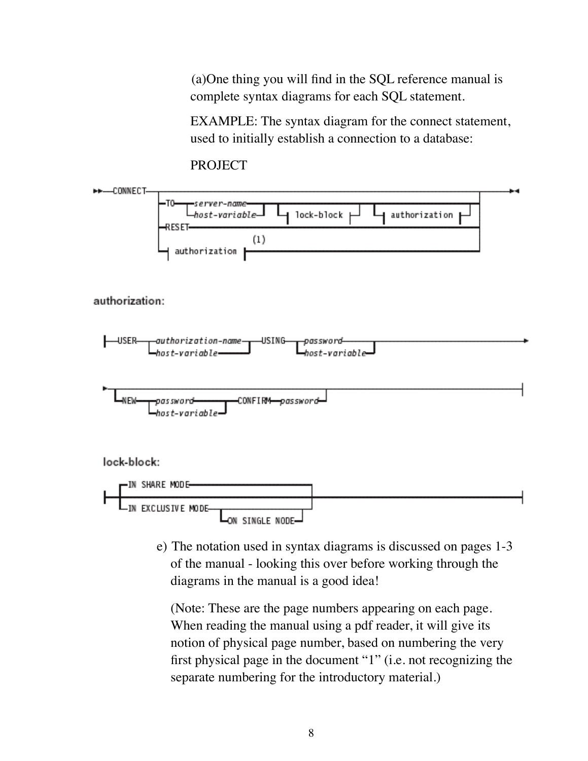(a)One thing you will find in the SQL reference manual is complete syntax diagrams for each SQL statement.

EXAMPLE: The syntax diagram for the connect statement, used to initially establish a connection to a database:

**PROJECT** 



e) The notation used in syntax diagrams is discussed on pages 1-3 of the manual - looking this over before working through the diagrams in the manual is a good idea!

(Note: These are the page numbers appearing on each page. When reading the manual using a pdf reader, it will give its notion of physical page number, based on numbering the very first physical page in the document "1" (i.e. not recognizing the separate numbering for the introductory material.)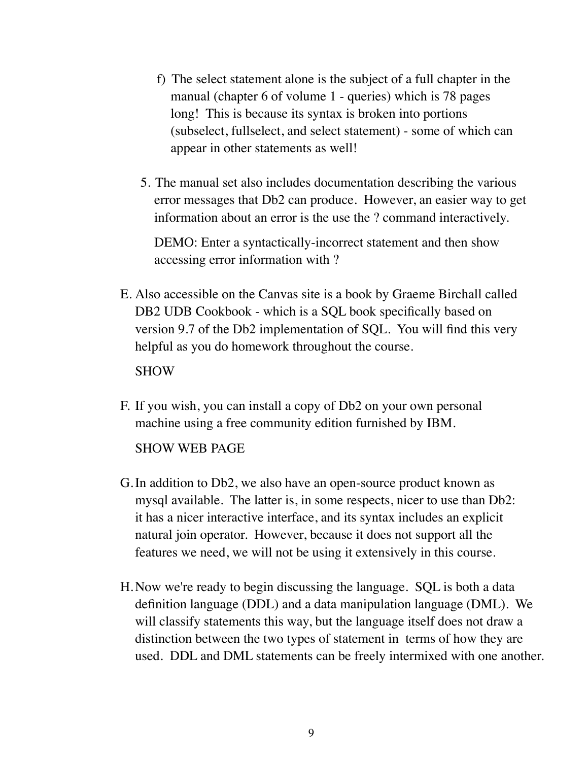- f) The select statement alone is the subject of a full chapter in the manual (chapter 6 of volume 1 - queries) which is 78 pages long! This is because its syntax is broken into portions (subselect, fullselect, and select statement) - some of which can appear in other statements as well!
- 5. The manual set also includes documentation describing the various error messages that Db2 can produce. However, an easier way to get information about an error is the use the ? command interactively.

DEMO: Enter a syntactically-incorrect statement and then show accessing error information with ?

E. Also accessible on the Canvas site is a book by Graeme Birchall called DB2 UDB Cookbook - which is a SQL book specifically based on version 9.7 of the Db2 implementation of SQL. You will find this very helpful as you do homework throughout the course.

#### SHOW

F. If you wish, you can install a copy of Db2 on your own personal machine using a free community edition furnished by IBM.

### SHOW WEB PAGE

- G.In addition to Db2, we also have an open-source product known as mysql available. The latter is, in some respects, nicer to use than Db2: it has a nicer interactive interface, and its syntax includes an explicit natural join operator. However, because it does not support all the features we need, we will not be using it extensively in this course.
- H.Now we're ready to begin discussing the language. SQL is both a data definition language (DDL) and a data manipulation language (DML). We will classify statements this way, but the language itself does not draw a distinction between the two types of statement in terms of how they are used. DDL and DML statements can be freely intermixed with one another.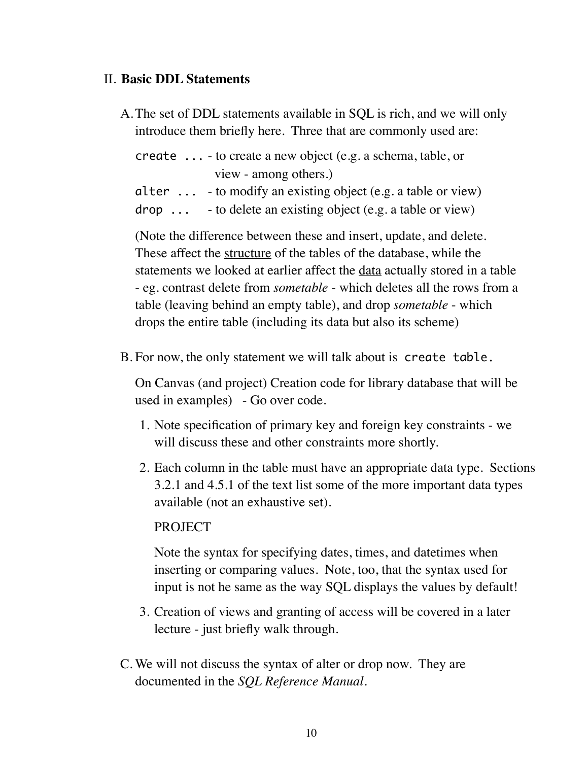### II. **Basic DDL Statements**

A.The set of DDL statements available in SQL is rich, and we will only introduce them briefly here. Three that are commonly used are:

create ... - to create a new object (e.g. a schema, table, or view - among others.)

- alter ... to modify an existing object (e.g. a table or view)
- $drop \dots$  to delete an existing object (e.g. a table or view)

(Note the difference between these and insert, update, and delete. These affect the structure of the tables of the database, while the statements we looked at earlier affect the data actually stored in a table - eg. contrast delete from *sometable* - which deletes all the rows from a table (leaving behind an empty table), and drop *sometable* - which drops the entire table (including its data but also its scheme)

B. For now, the only statement we will talk about is create table.

On Canvas (and project) Creation code for library database that will be used in examples) - Go over code.

- 1. Note specification of primary key and foreign key constraints we will discuss these and other constraints more shortly.
- 2. Each column in the table must have an appropriate data type. Sections 3.2.1 and 4.5.1 of the text list some of the more important data types available (not an exhaustive set).

#### **PROJECT**

Note the syntax for specifying dates, times, and datetimes when inserting or comparing values. Note, too, that the syntax used for input is not he same as the way SQL displays the values by default!

- 3. Creation of views and granting of access will be covered in a later lecture - just briefly walk through.
- C. We will not discuss the syntax of alter or drop now. They are documented in the *SQL Reference Manual*.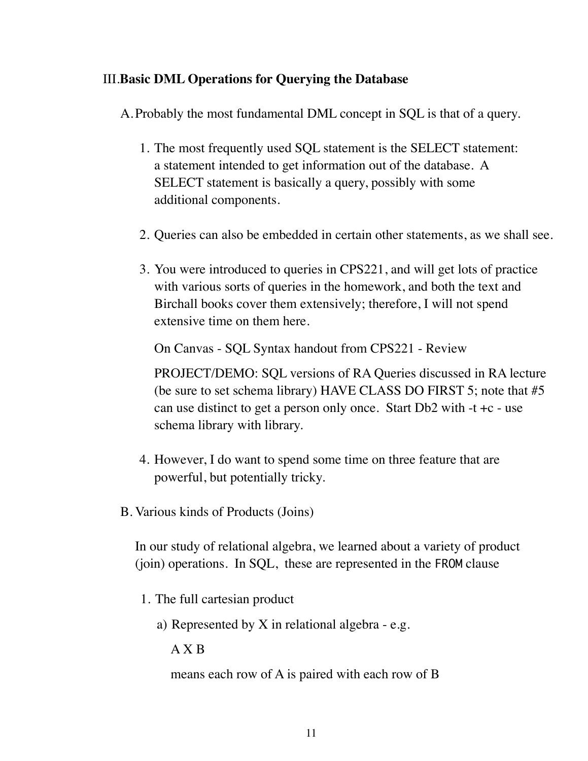## III.**Basic DML Operations for Querying the Database**

A.Probably the most fundamental DML concept in SQL is that of a query.

- 1. The most frequently used SQL statement is the SELECT statement: a statement intended to get information out of the database. A SELECT statement is basically a query, possibly with some additional components.
- 2. Queries can also be embedded in certain other statements, as we shall see.
- 3. You were introduced to queries in CPS221, and will get lots of practice with various sorts of queries in the homework, and both the text and Birchall books cover them extensively; therefore, I will not spend extensive time on them here.

On Canvas - SQL Syntax handout from CPS221 - Review

PROJECT/DEMO: SQL versions of RA Queries discussed in RA lecture (be sure to set schema library) HAVE CLASS DO FIRST 5; note that #5 can use distinct to get a person only once. Start  $Db2$  with  $-t +c -$ use schema library with library.

- 4. However, I do want to spend some time on three feature that are powerful, but potentially tricky.
- B. Various kinds of Products (Joins)

In our study of relational algebra, we learned about a variety of product (join) operations. In SQL, these are represented in the FROM clause

- 1. The full cartesian product
	- a) Represented by X in relational algebra e.g.

A X B

means each row of A is paired with each row of B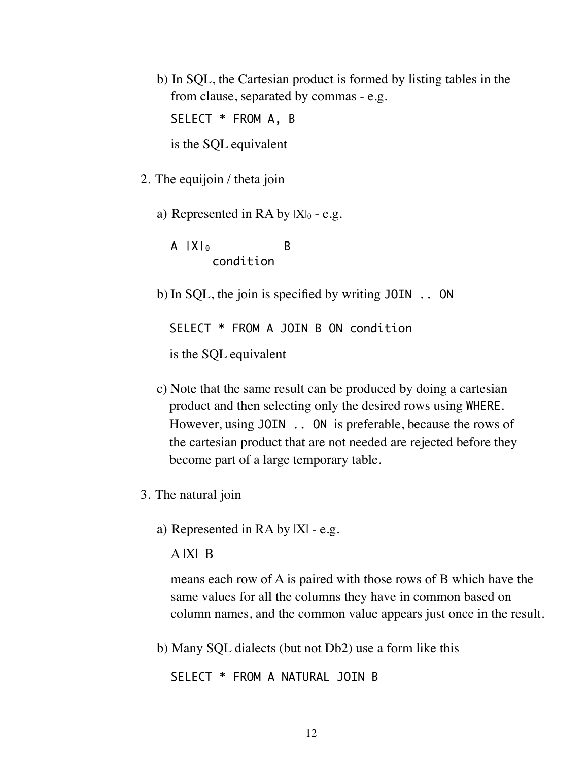b) In SQL, the Cartesian product is formed by listing tables in the from clause, separated by commas - e.g.

SELECT \* FROM A, B

is the SQL equivalent

- 2. The equijoin / theta join
	- a) Represented in RA by  $|X|_{\theta}$  e.g.

A |Χ|θ B condition

b) In SQL, the join is specified by writing JOIN .. ON

SELECT \* FROM A JOIN B ON condition

is the SQL equivalent

- c) Note that the same result can be produced by doing a cartesian product and then selecting only the desired rows using WHERE. However, using JOIN .. ON is preferable, because the rows of the cartesian product that are not needed are rejected before they become part of a large temporary table.
- 3. The natural join
	- a) Represented in RA by |X| e.g.

A |X| B

means each row of A is paired with those rows of B which have the same values for all the columns they have in common based on column names, and the common value appears just once in the result.

b) Many SQL dialects (but not Db2) use a form like this

SELECT \* FROM A NATURAL JOIN B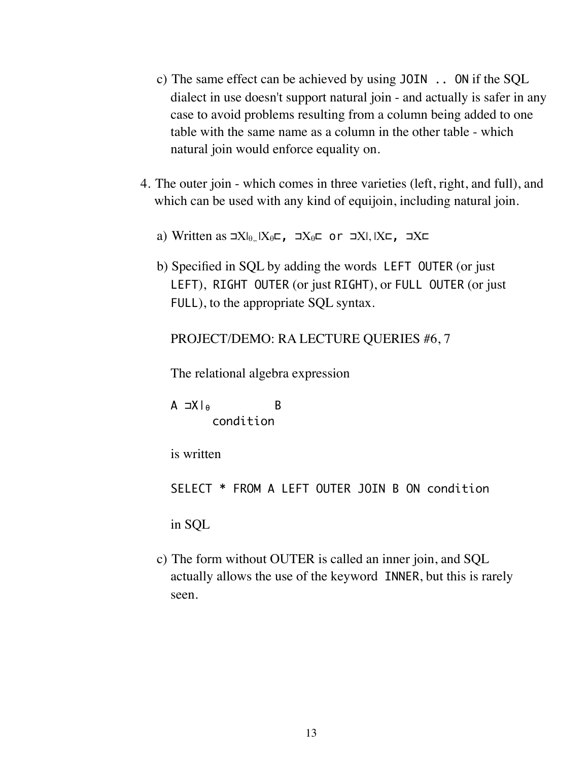- c) The same effect can be achieved by using JOIN .. ON if the SQL dialect in use doesn't support natural join - and actually is safer in any case to avoid problems resulting from a column being added to one table with the same name as a column in the other table - which natural join would enforce equality on.
- 4. The outer join which comes in three varieties (left, right, and full), and which can be used with any kind of equijoin, including natural join.
	- a) Written as  $\exists X \vert_{\theta_n} |X_{\theta} \subset I$ ,  $\exists X \in I$  or  $\exists X \vert, |X \subset I$ ,  $\exists X \subset I$
	- b) Specified in SQL by adding the words LEFT OUTER (or just LEFT), RIGHT OUTER (or just RIGHT), or FULL OUTER (or just FULL), to the appropriate SQL syntax.

PROJECT/DEMO: RA LECTURE QUERIES #6, 7

The relational algebra expression

A ⊐Χ|θ B condition

is written

SELECT \* FROM A LEFT OUTER JOIN B ON condition

in SQL

c) The form without OUTER is called an inner join, and SQL actually allows the use of the keyword INNER, but this is rarely seen.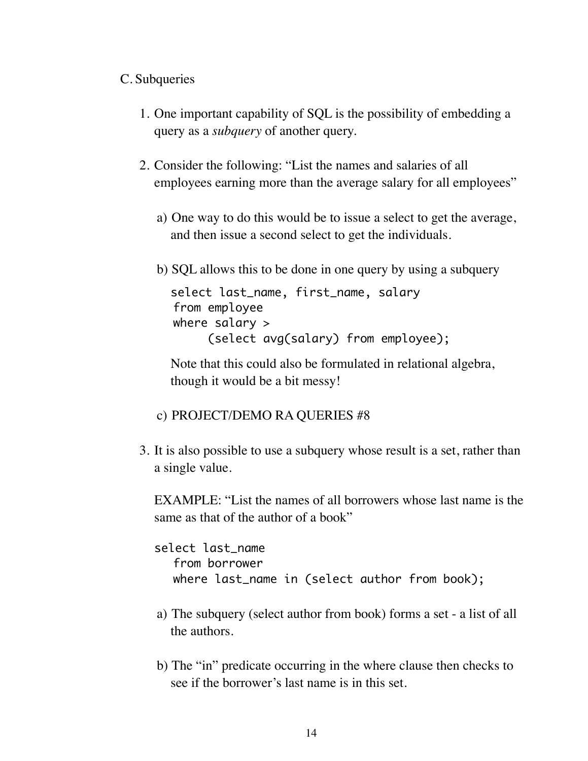# C. Subqueries

- 1. One important capability of SQL is the possibility of embedding a query as a *subquery* of another query.
- 2. Consider the following: "List the names and salaries of all employees earning more than the average salary for all employees"
	- a) One way to do this would be to issue a select to get the average, and then issue a second select to get the individuals.
	- b) SQL allows this to be done in one query by using a subquery

```
select last_name, first_name, salary
from employee
where salary > 
     (select avg(salary) from employee);
```
Note that this could also be formulated in relational algebra, though it would be a bit messy!

## c) PROJECT/DEMO RA QUERIES #8

3. It is also possible to use a subquery whose result is a set, rather than a single value.

EXAMPLE: "List the names of all borrowers whose last name is the same as that of the author of a book"

select last\_name from borrower where last\_name in (select author from book);

- a) The subquery (select author from book) forms a set a list of all the authors.
- b) The "in" predicate occurring in the where clause then checks to see if the borrower's last name is in this set.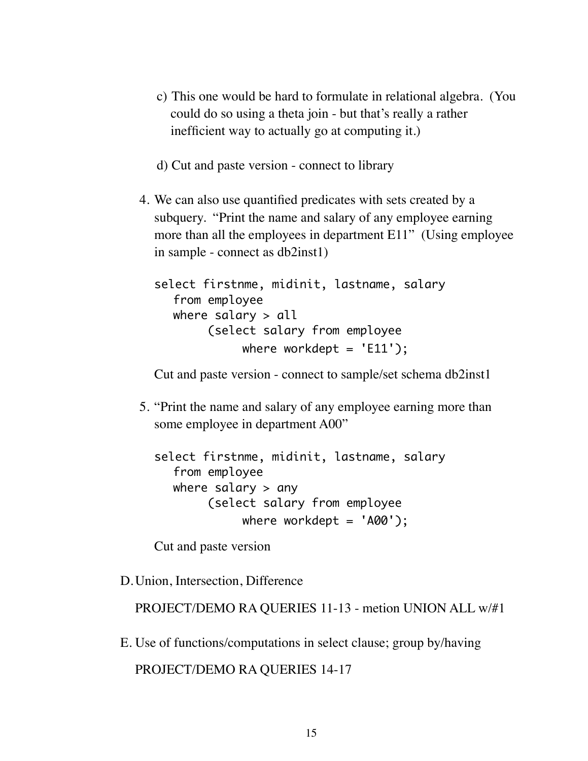- c) This one would be hard to formulate in relational algebra. (You could do so using a theta join - but that's really a rather inefficient way to actually go at computing it.)
- d) Cut and paste version connect to library
- 4. We can also use quantified predicates with sets created by a subquery. "Print the name and salary of any employee earning more than all the employees in department E11" (Using employee) in sample - connect as db2inst1)

select firstnme, midinit, lastname, salary from employee where salary  $>$  all (select salary from employee where workdept =  $'E11')$ ;

Cut and paste version - connect to sample/set schema db2inst1

5. "Print the name and salary of any employee earning more than some employee in department A00"

```
select firstnme, midinit, lastname, salary 
  from employee 
  where salary > any
        (select salary from employee 
             where workdept = 'AOO');
```
Cut and paste version

D.Union, Intersection, Difference

PROJECT/DEMO RA QUERIES 11-13 - metion UNION ALL w/#1

E. Use of functions/computations in select clause; group by/having

```
PROJECT/DEMO RA QUERIES 14-17
```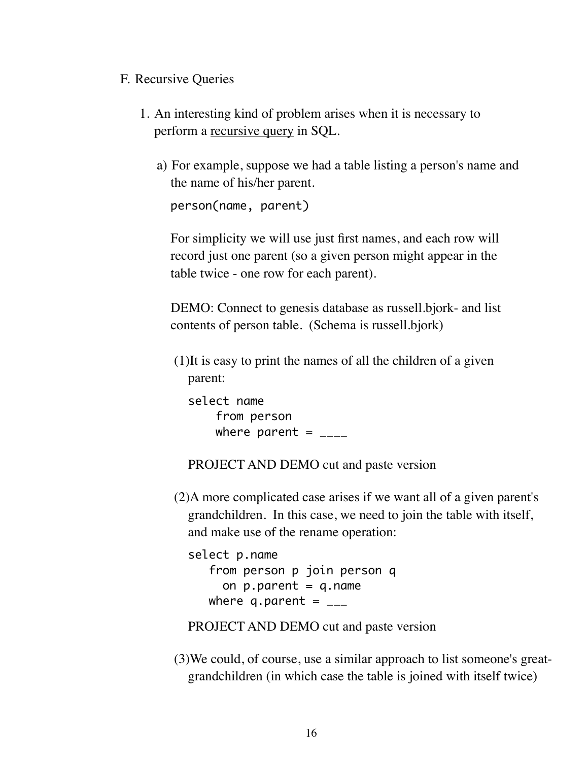## F. Recursive Queries

- 1. An interesting kind of problem arises when it is necessary to perform a recursive query in SQL.
	- a) For example, suppose we had a table listing a person's name and the name of his/her parent.

person(name, parent)

For simplicity we will use just first names, and each row will record just one parent (so a given person might appear in the table twice - one row for each parent).

DEMO: Connect to genesis database as russell.bjork- and list contents of person table. (Schema is russell.bjork)

(1)It is easy to print the names of all the children of a given parent:

select name from person where parent =  $_{---}$ 

PROJECT AND DEMO cut and paste version

(2)A more complicated case arises if we want all of a given parent's grandchildren. In this case, we need to join the table with itself, and make use of the rename operation:

select p.name from person p join person q on  $p.parent = q.name$ where q.parent =  $_{--}$ 

PROJECT AND DEMO cut and paste version

(3)We could, of course, use a similar approach to list someone's greatgrandchildren (in which case the table is joined with itself twice)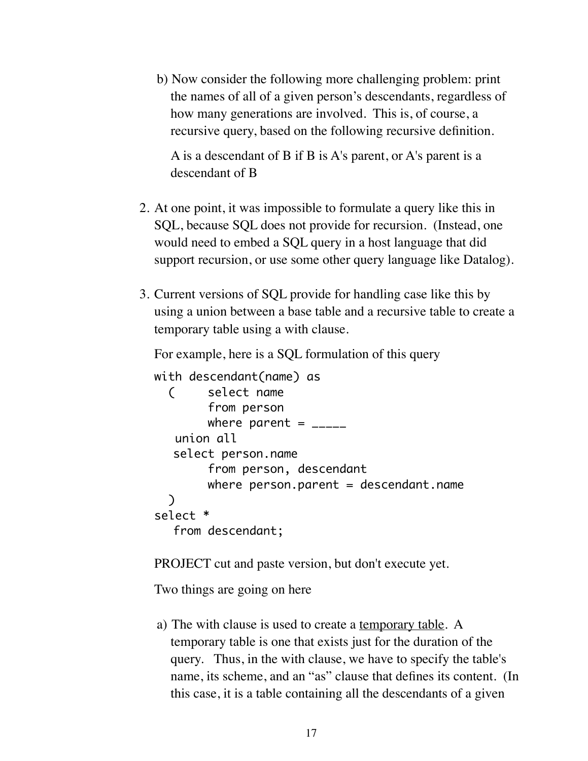b) Now consider the following more challenging problem: print the names of all of a given person's descendants, regardless of how many generations are involved. This is, of course, a recursive query, based on the following recursive definition.

A is a descendant of B if B is A's parent, or A's parent is a descendant of B

- 2. At one point, it was impossible to formulate a query like this in SQL, because SQL does not provide for recursion. (Instead, one would need to embed a SQL query in a host language that did support recursion, or use some other query language like Datalog).
- 3. Current versions of SQL provide for handling case like this by using a union between a base table and a recursive table to create a temporary table using a with clause.

For example, here is a SQL formulation of this query

```
with descendant(name) as
   ( select name
        from person
        where parent = _{\frac{1}{2}} union all
   select person.name
        from person, descendant
        where person.parent = descendant.name )
select *
   from descendant;
```
PROJECT cut and paste version, but don't execute yet.

Two things are going on here

a) The with clause is used to create a temporary table. A temporary table is one that exists just for the duration of the query. Thus, in the with clause, we have to specify the table's name, its scheme, and an "as" clause that defines its content. (In this case, it is a table containing all the descendants of a given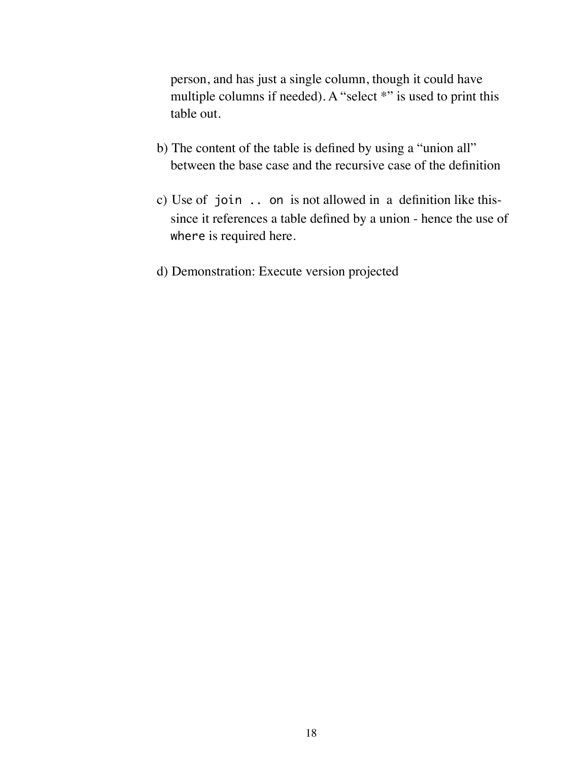person, and has just a single column, though it could have multiple columns if needed). A "select \*" is used to print this table out.

- b) The content of the table is defined by using a "union all" between the base case and the recursive case of the definition
- c) Use of join .. on is not allowed in a definition like thissince it references a table defined by a union - hence the use of where is required here.
- d) Demonstration: Execute version projected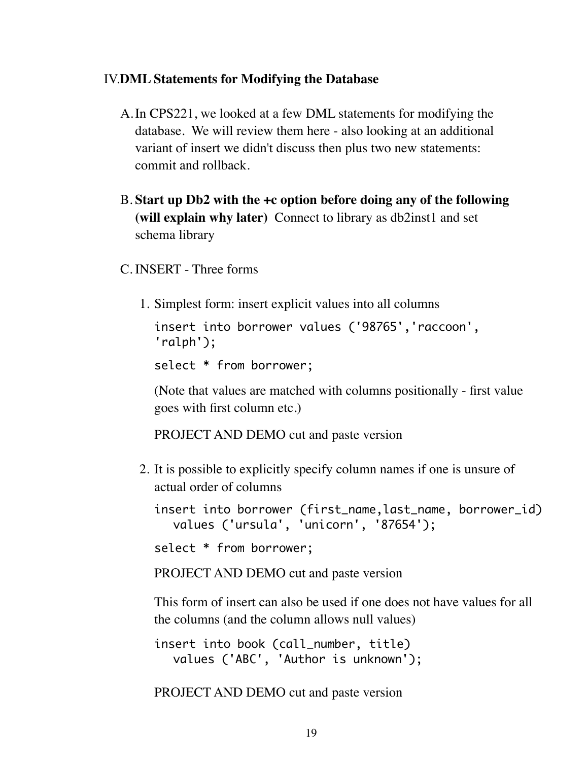## IV.**DML Statements for Modifying the Database**

- A.In CPS221, we looked at a few DML statements for modifying the database. We will review them here - also looking at an additional variant of insert we didn't discuss then plus two new statements: commit and rollback.
- B. **Start up Db2 with the +c option before doing any of the following (will explain why later)** Connect to library as db2inst1 and set schema library
- C. INSERT Three forms
	- 1. Simplest form: insert explicit values into all columns

insert into borrower values ('98765','raccoon', 'ralph');

select \* from borrower;

(Note that values are matched with columns positionally - first value goes with first column etc.)

PROJECT AND DEMO cut and paste version

2. It is possible to explicitly specify column names if one is unsure of actual order of columns

insert into borrower (first\_name, last\_name, borrower\_id) values ('ursula', 'unicorn', '87654');

```
select * from borrower;
```
PROJECT AND DEMO cut and paste version

This form of insert can also be used if one does not have values for all the columns (and the column allows null values)

insert into book (call\_number, title) values ('ABC', 'Author is unknown');

PROJECT AND DEMO cut and paste version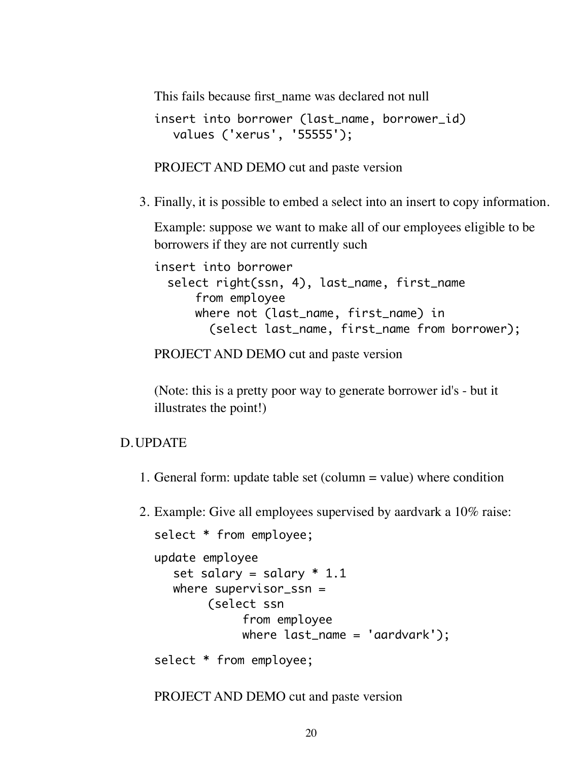This fails because first name was declared not null

```
insert into borrower (last_name, borrower_id)
  values ('xerus', '55555');
```
PROJECT AND DEMO cut and paste version

3. Finally, it is possible to embed a select into an insert to copy information.

Example: suppose we want to make all of our employees eligible to be borrowers if they are not currently such

```
insert into borrower 
 select right(ssn, 4), last_name, first_name
      from employee 
     where not (last_name, first_name) in
        (select last_name, first_name from borrower);
```
PROJECT AND DEMO cut and paste version

(Note: this is a pretty poor way to generate borrower id's - but it illustrates the point!)

#### D.UPDATE

1. General form: update table set (column = value) where condition

2. Example: Give all employees supervised by aardvark a 10% raise:

```
select * from employee;
update employee
  set salary = salary * 1.1where supervisor_ssn =
       (select ssn
            from employee
            where last_name = 'aardvark');select * from employee;
```
PROJECT AND DEMO cut and paste version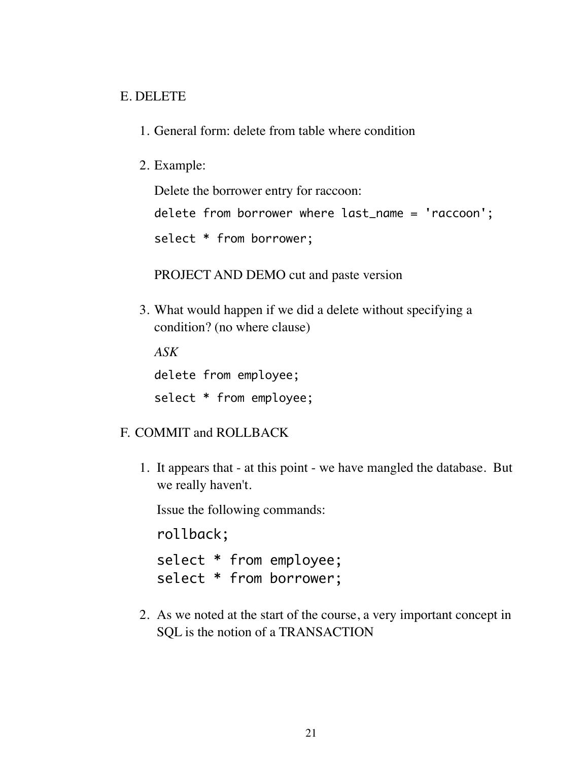### E. DELETE

- 1. General form: delete from table where condition
- 2. Example:

Delete the borrower entry for raccoon:

delete from borrower where last\_name = 'raccoon';

select \* from borrower;

PROJECT AND DEMO cut and paste version

3. What would happen if we did a delete without specifying a condition? (no where clause)

*ASK* delete from employee; select \* from employee;

## F. COMMIT and ROLLBACK

1. It appears that - at this point - we have mangled the database. But we really haven't.

Issue the following commands:

rollback;

select \* from employee; select \* from borrower;

2. As we noted at the start of the course, a very important concept in SQL is the notion of a TRANSACTION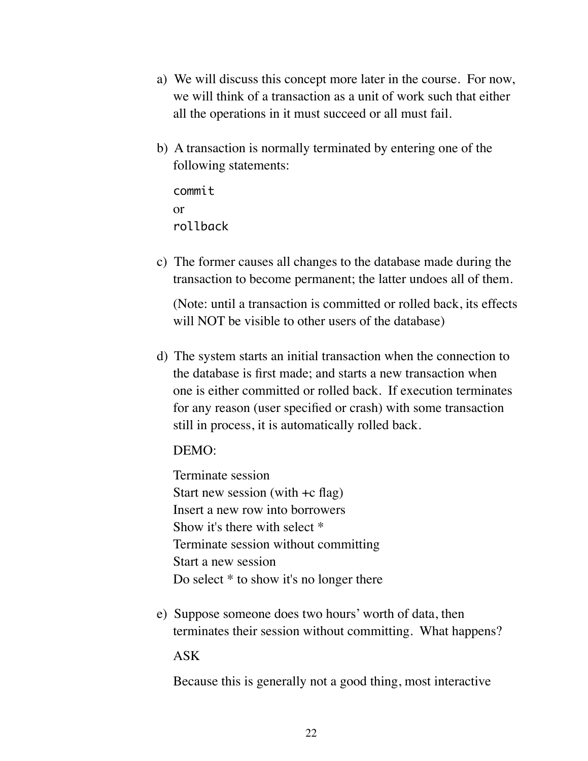- a) We will discuss this concept more later in the course. For now, we will think of a transaction as a unit of work such that either all the operations in it must succeed or all must fail.
- b) A transaction is normally terminated by entering one of the following statements:
	- commit. or rollback
- c) The former causes all changes to the database made during the transaction to become permanent; the latter undoes all of them.

(Note: until a transaction is committed or rolled back, its effects will NOT be visible to other users of the database)

d) The system starts an initial transaction when the connection to the database is first made; and starts a new transaction when one is either committed or rolled back. If execution terminates for any reason (user specified or crash) with some transaction still in process, it is automatically rolled back.

#### DEMO:

Terminate session Start new session (with +c flag) Insert a new row into borrowers Show it's there with select \* Terminate session without committing Start a new session Do select \* to show it's no longer there

e) Suppose someone does two hours' worth of data, then terminates their session without committing. What happens?

ASK

Because this is generally not a good thing, most interactive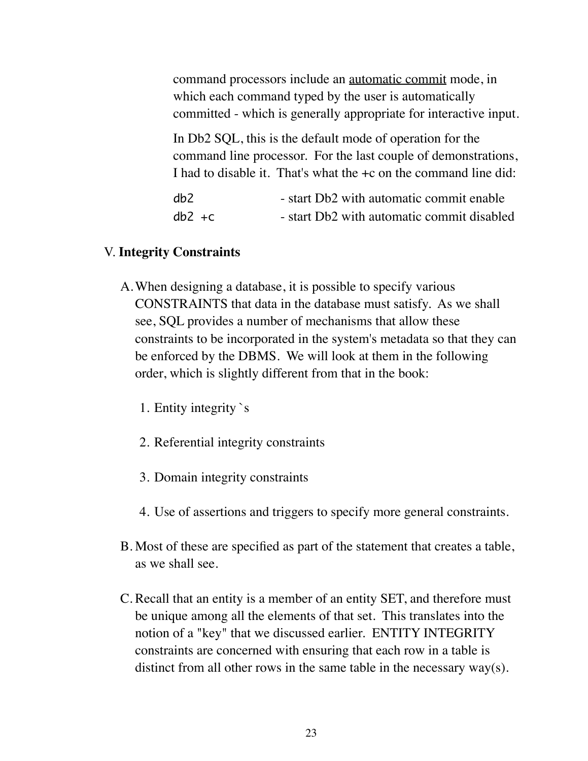command processors include an automatic commit mode, in which each command typed by the user is automatically committed - which is generally appropriate for interactive input.

In Db2 SQL, this is the default mode of operation for the command line processor. For the last couple of demonstrations, I had to disable it. That's what the +c on the command line did:

| db2       | - start Db2 with automatic commit enable   |
|-----------|--------------------------------------------|
| $db2 + c$ | - start Db2 with automatic commit disabled |

#### V. **Integrity Constraints**

- A.When designing a database, it is possible to specify various CONSTRAINTS that data in the database must satisfy. As we shall see, SQL provides a number of mechanisms that allow these constraints to be incorporated in the system's metadata so that they can be enforced by the DBMS. We will look at them in the following order, which is slightly different from that in the book:
	- 1. Entity integrity `s
	- 2. Referential integrity constraints
	- 3. Domain integrity constraints
	- 4. Use of assertions and triggers to specify more general constraints.
- B. Most of these are specified as part of the statement that creates a table, as we shall see.
- C. Recall that an entity is a member of an entity SET, and therefore must be unique among all the elements of that set. This translates into the notion of a "key" that we discussed earlier. ENTITY INTEGRITY constraints are concerned with ensuring that each row in a table is distinct from all other rows in the same table in the necessary way(s).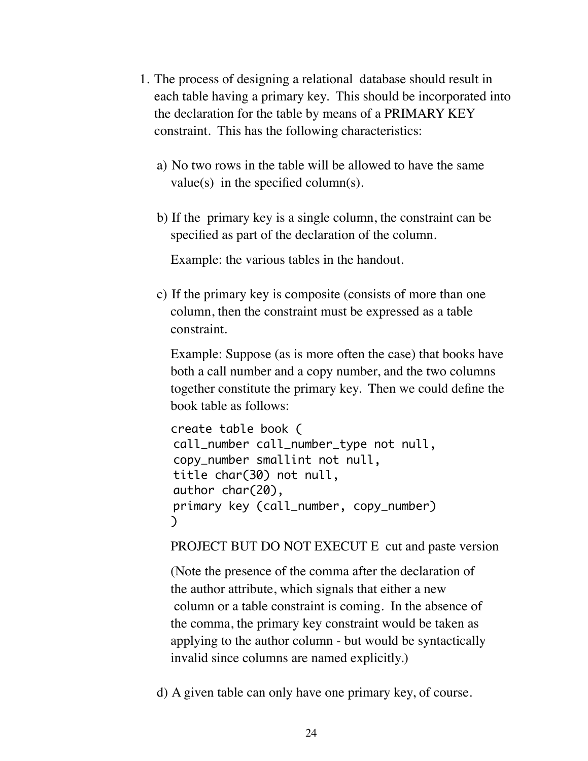- 1. The process of designing a relational database should result in each table having a primary key. This should be incorporated into the declaration for the table by means of a PRIMARY KEY constraint. This has the following characteristics:
	- a) No two rows in the table will be allowed to have the same value(s) in the specified column(s).
	- b) If the primary key is a single column, the constraint can be specified as part of the declaration of the column.

Example: the various tables in the handout.

c) If the primary key is composite (consists of more than one column, then the constraint must be expressed as a table constraint.

Example: Suppose (as is more often the case) that books have both a call number and a copy number, and the two columns together constitute the primary key. Then we could define the book table as follows:

```
create table book ( 
call_number call_number_type not null,
copy_number smallint not null,
title char(30) not null,
author char(20),
primary key (call_number, copy_number)
)
```
PROJECT BUT DO NOT EXECUT E cut and paste version

(Note the presence of the comma after the declaration of the author attribute, which signals that either a new column or a table constraint is coming. In the absence of the comma, the primary key constraint would be taken as applying to the author column - but would be syntactically invalid since columns are named explicitly.)

d) A given table can only have one primary key, of course.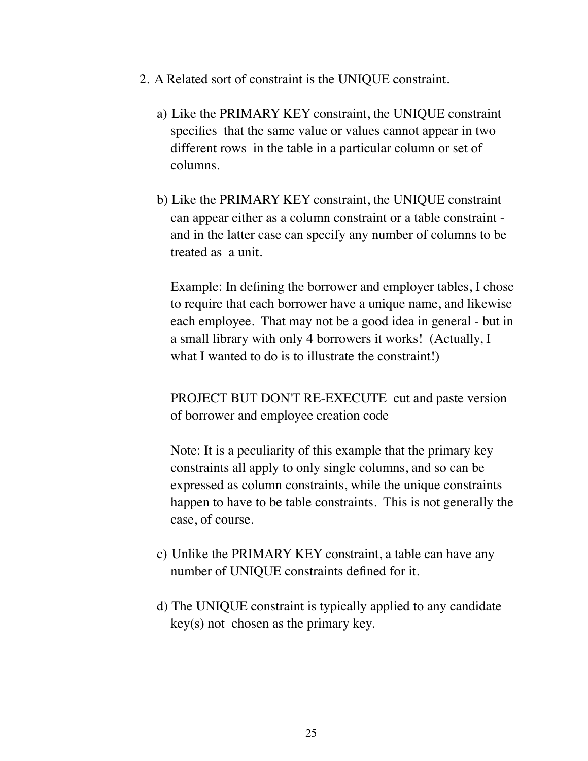- 2. A Related sort of constraint is the UNIQUE constraint.
	- a) Like the PRIMARY KEY constraint, the UNIQUE constraint specifies that the same value or values cannot appear in two different rows in the table in a particular column or set of columns.
	- b) Like the PRIMARY KEY constraint, the UNIQUE constraint can appear either as a column constraint or a table constraint and in the latter case can specify any number of columns to be treated as a unit.

Example: In defining the borrower and employer tables, I chose to require that each borrower have a unique name, and likewise each employee. That may not be a good idea in general - but in a small library with only 4 borrowers it works! (Actually, I what I wanted to do is to illustrate the constraint!)

PROJECT BUT DON'T RE-EXECUTE cut and paste version of borrower and employee creation code

Note: It is a peculiarity of this example that the primary key constraints all apply to only single columns, and so can be expressed as column constraints, while the unique constraints happen to have to be table constraints. This is not generally the case, of course.

- c) Unlike the PRIMARY KEY constraint, a table can have any number of UNIQUE constraints defined for it.
- d) The UNIQUE constraint is typically applied to any candidate key(s) not chosen as the primary key.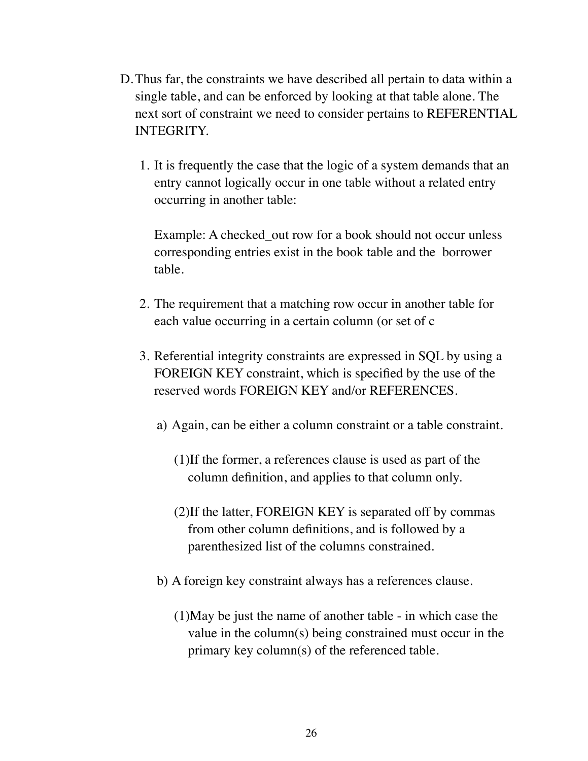- D.Thus far, the constraints we have described all pertain to data within a single table, and can be enforced by looking at that table alone. The next sort of constraint we need to consider pertains to REFERENTIAL INTEGRITY.
	- 1. It is frequently the case that the logic of a system demands that an entry cannot logically occur in one table without a related entry occurring in another table:

Example: A checked out row for a book should not occur unless corresponding entries exist in the book table and the borrower table.

- 2. The requirement that a matching row occur in another table for each value occurring in a certain column (or set of c
- 3. Referential integrity constraints are expressed in SQL by using a FOREIGN KEY constraint, which is specified by the use of the reserved words FOREIGN KEY and/or REFERENCES.
	- a) Again, can be either a column constraint or a table constraint.
		- (1)If the former, a references clause is used as part of the column definition, and applies to that column only.
		- (2)If the latter, FOREIGN KEY is separated off by commas from other column definitions, and is followed by a parenthesized list of the columns constrained.
	- b) A foreign key constraint always has a references clause.
		- (1)May be just the name of another table in which case the value in the column(s) being constrained must occur in the primary key column(s) of the referenced table.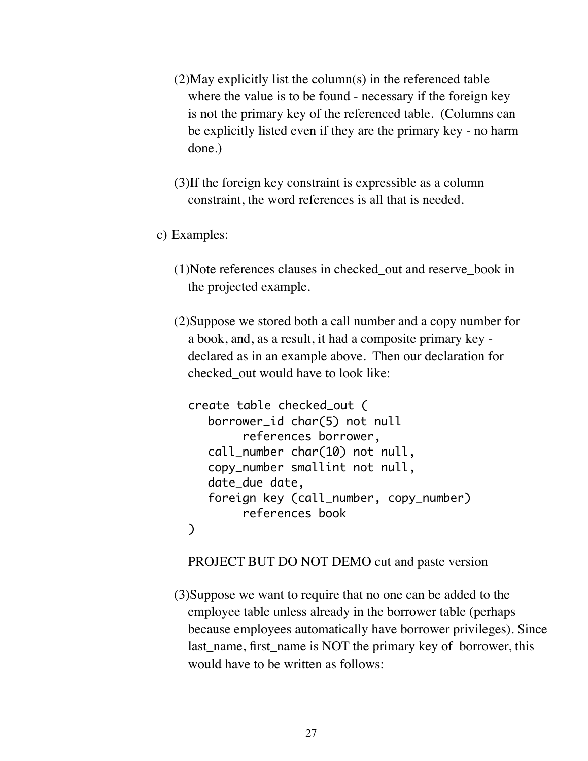- (2)May explicitly list the column(s) in the referenced table where the value is to be found - necessary if the foreign key is not the primary key of the referenced table. (Columns can be explicitly listed even if they are the primary key - no harm done.)
- (3)If the foreign key constraint is expressible as a column constraint, the word references is all that is needed.
- c) Examples:
	- (1)Note references clauses in checked\_out and reserve\_book in the projected example.
	- (2)Suppose we stored both a call number and a copy number for a book, and, as a result, it had a composite primary key declared as in an example above. Then our declaration for checked\_out would have to look like:

```
create table checked_out (
  borrower_id char(5) not null 
        references borrower,
  call_number char(10) not null,
  copy_number smallint not null,
  date_due date,
  foreign key (call_number, copy_number) 
        references book
)
```
PROJECT BUT DO NOT DEMO cut and paste version

(3)Suppose we want to require that no one can be added to the employee table unless already in the borrower table (perhaps because employees automatically have borrower privileges). Since last name, first name is NOT the primary key of borrower, this would have to be written as follows: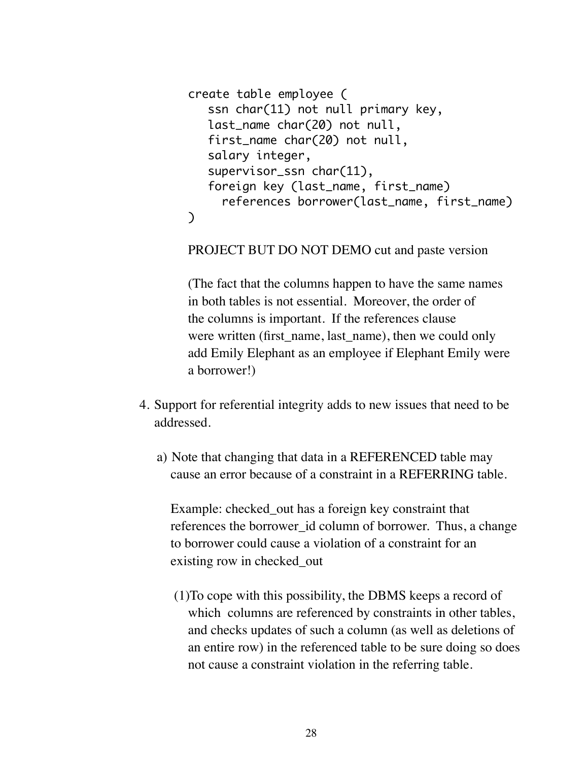```
create table employee (
  ssn char(11) not null primary key,
  last_name char(20) not null,
  first_name char(20) not null,
  salary integer,
  supervisor_ssn char(11),
  foreign key (last_name, first_name) 
     references borrower(last_name, first_name)
)
```
PROJECT BUT DO NOT DEMO cut and paste version

(The fact that the columns happen to have the same names in both tables is not essential. Moreover, the order of the columns is important. If the references clause were written (first name, last name), then we could only add Emily Elephant as an employee if Elephant Emily were a borrower!)

- 4. Support for referential integrity adds to new issues that need to be addressed.
	- a) Note that changing that data in a REFERENCED table may cause an error because of a constraint in a REFERRING table.

Example: checked\_out has a foreign key constraint that references the borrower\_id column of borrower. Thus, a change to borrower could cause a violation of a constraint for an existing row in checked\_out

(1)To cope with this possibility, the DBMS keeps a record of which columns are referenced by constraints in other tables, and checks updates of such a column (as well as deletions of an entire row) in the referenced table to be sure doing so does not cause a constraint violation in the referring table.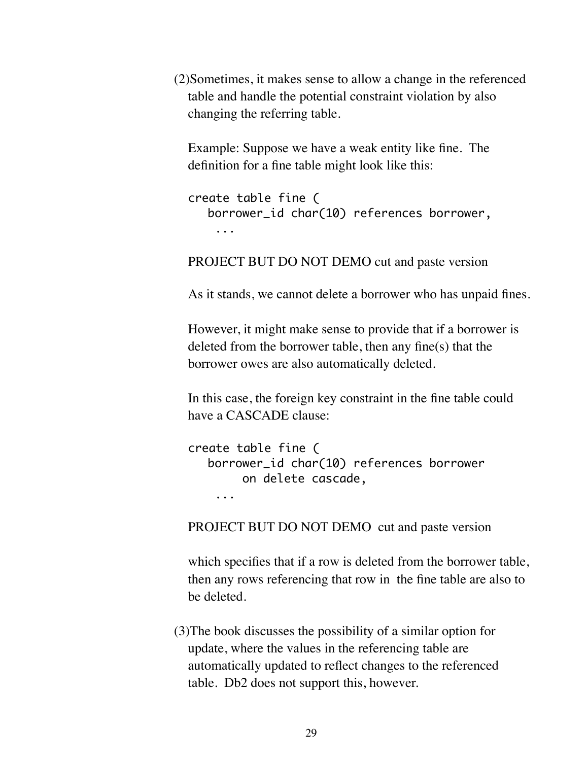(2)Sometimes, it makes sense to allow a change in the referenced table and handle the potential constraint violation by also changing the referring table.

Example: Suppose we have a weak entity like fine. The definition for a fine table might look like this:

```
create table fine (
  borrower_id char(10) references borrower,
    ...
```
PROJECT BUT DO NOT DEMO cut and paste version

As it stands, we cannot delete a borrower who has unpaid fines.

However, it might make sense to provide that if a borrower is deleted from the borrower table, then any fine(s) that the borrower owes are also automatically deleted.

In this case, the foreign key constraint in the fine table could have a CASCADE clause:

```
create table fine (
  borrower_id char(10) references borrower
        on delete cascade,
     ...
```
PROJECT BUT DO NOT DEMO cut and paste version

which specifies that if a row is deleted from the borrower table, then any rows referencing that row in the fine table are also to be deleted.

(3)The book discusses the possibility of a similar option for update, where the values in the referencing table are automatically updated to reflect changes to the referenced table. Db2 does not support this, however.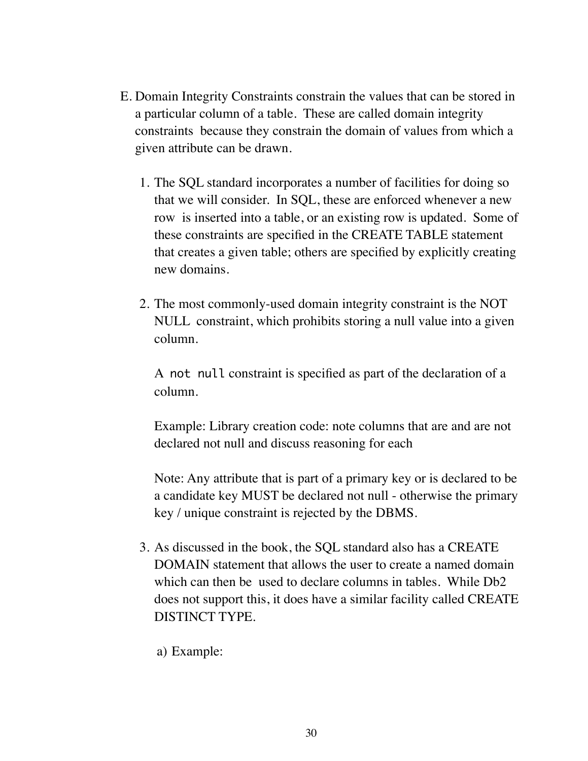- E. Domain Integrity Constraints constrain the values that can be stored in a particular column of a table. These are called domain integrity constraints because they constrain the domain of values from which a given attribute can be drawn.
	- 1. The SQL standard incorporates a number of facilities for doing so that we will consider. In SQL, these are enforced whenever a new row is inserted into a table, or an existing row is updated. Some of these constraints are specified in the CREATE TABLE statement that creates a given table; others are specified by explicitly creating new domains.
	- 2. The most commonly-used domain integrity constraint is the NOT NULL constraint, which prohibits storing a null value into a given column.

A not null constraint is specified as part of the declaration of a column.

Example: Library creation code: note columns that are and are not declared not null and discuss reasoning for each

Note: Any attribute that is part of a primary key or is declared to be a candidate key MUST be declared not null - otherwise the primary key / unique constraint is rejected by the DBMS.

- 3. As discussed in the book, the SQL standard also has a CREATE DOMAIN statement that allows the user to create a named domain which can then be used to declare columns in tables. While Db2 does not support this, it does have a similar facility called CREATE DISTINCT TYPE.
	- a) Example: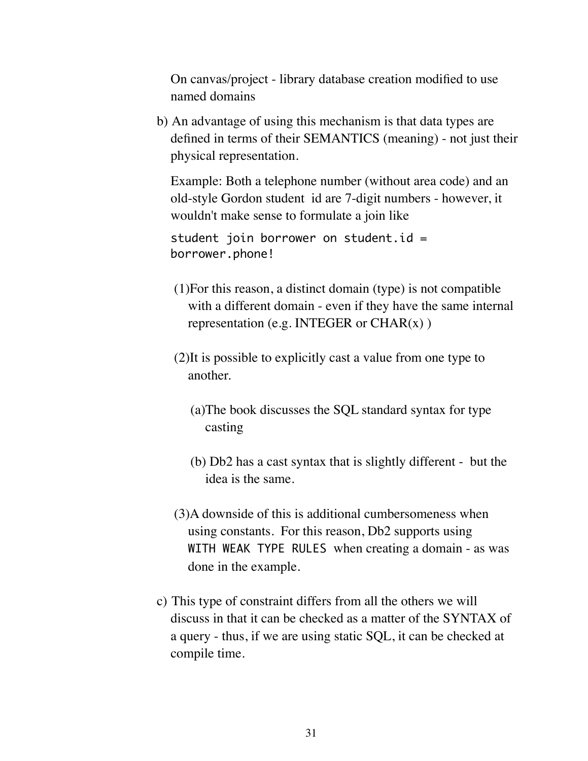On canvas/project - library database creation modified to use named domains

b) An advantage of using this mechanism is that data types are defined in terms of their SEMANTICS (meaning) - not just their physical representation.

Example: Both a telephone number (without area code) and an old-style Gordon student id are 7-digit numbers - however, it wouldn't make sense to formulate a join like

student join borrower on student.id = borrower.phone!

- (1)For this reason, a distinct domain (type) is not compatible with a different domain - even if they have the same internal representation (e.g. INTEGER or  $CHAR(x)$ )
- (2)It is possible to explicitly cast a value from one type to another.
	- (a)The book discusses the SQL standard syntax for type casting
	- (b) Db2 has a cast syntax that is slightly different but the idea is the same.
- (3)A downside of this is additional cumbersomeness when using constants. For this reason, Db2 supports using WITH WEAK TYPE RULES when creating a domain - as was done in the example.
- c) This type of constraint differs from all the others we will discuss in that it can be checked as a matter of the SYNTAX of a query - thus, if we are using static SQL, it can be checked at compile time.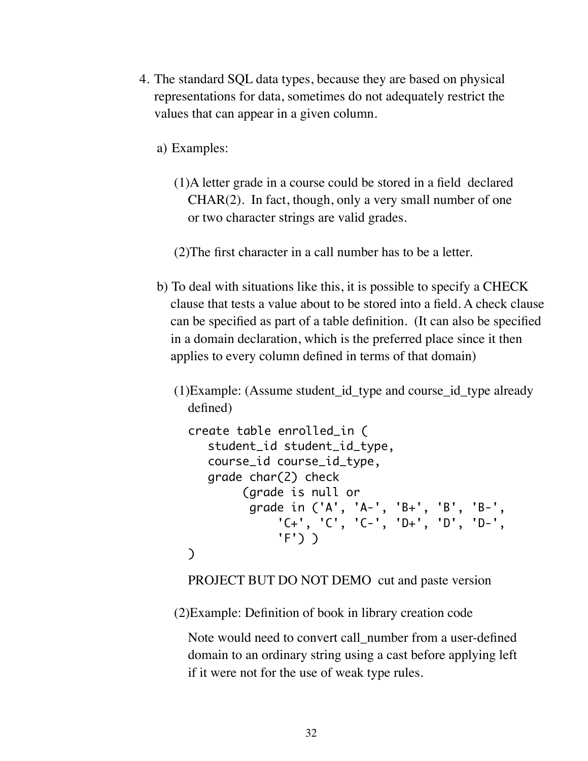- 4. The standard SQL data types, because they are based on physical representations for data, sometimes do not adequately restrict the values that can appear in a given column.
	- a) Examples:
		- (1)A letter grade in a course could be stored in a field declared CHAR(2). In fact, though, only a very small number of one or two character strings are valid grades.
		- (2)The first character in a call number has to be a letter.
	- b) To deal with situations like this, it is possible to specify a CHECK clause that tests a value about to be stored into a field. A check clause can be specified as part of a table definition. (It can also be specified in a domain declaration, which is the preferred place since it then applies to every column defined in terms of that domain)
		- (1)Example: (Assume student\_id\_type and course\_id\_type already defined)

```
create table enrolled_in (
  student_id student_id_type,
  course_id course_id_type,
  grade char(2) check 
        (grade is null or 
         grade in ('A', 'A-', 'B+', 'B', 'B-', 
             'C+', 'C', 'C-', 'D+', 'D', 'D-',
             'F') )
)
```
PROJECT BUT DO NOT DEMO cut and paste version

(2)Example: Definition of book in library creation code

Note would need to convert call number from a user-defined domain to an ordinary string using a cast before applying left if it were not for the use of weak type rules.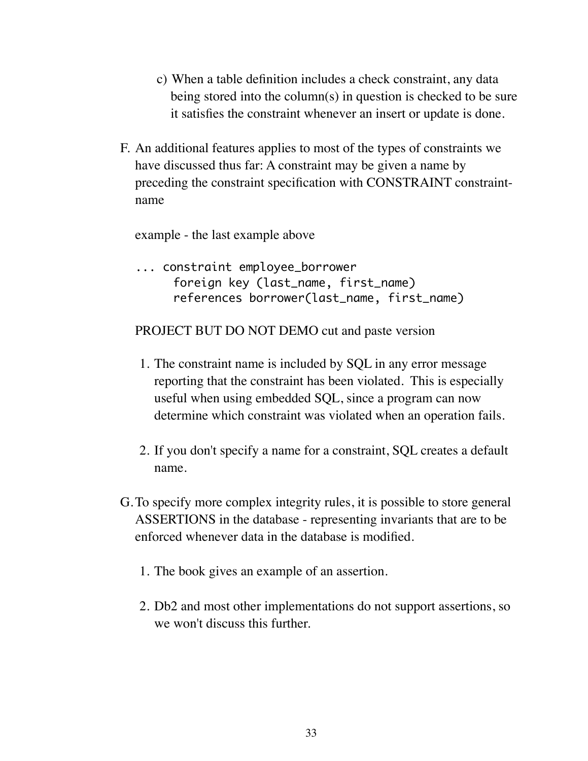- c) When a table definition includes a check constraint, any data being stored into the column(s) in question is checked to be sure it satisfies the constraint whenever an insert or update is done.
- F. An additional features applies to most of the types of constraints we have discussed thus far: A constraint may be given a name by preceding the constraint specification with CONSTRAINT constraintname

example - the last example above

... constraint employee\_borrower foreign key (last\_name, first\_name) references borrower(last\_name, first\_name)

### PROJECT BUT DO NOT DEMO cut and paste version

- 1. The constraint name is included by SQL in any error message reporting that the constraint has been violated. This is especially useful when using embedded SQL, since a program can now determine which constraint was violated when an operation fails.
- 2. If you don't specify a name for a constraint, SQL creates a default name.
- G.To specify more complex integrity rules, it is possible to store general ASSERTIONS in the database - representing invariants that are to be enforced whenever data in the database is modified.
	- 1. The book gives an example of an assertion.
	- 2. Db2 and most other implementations do not support assertions, so we won't discuss this further.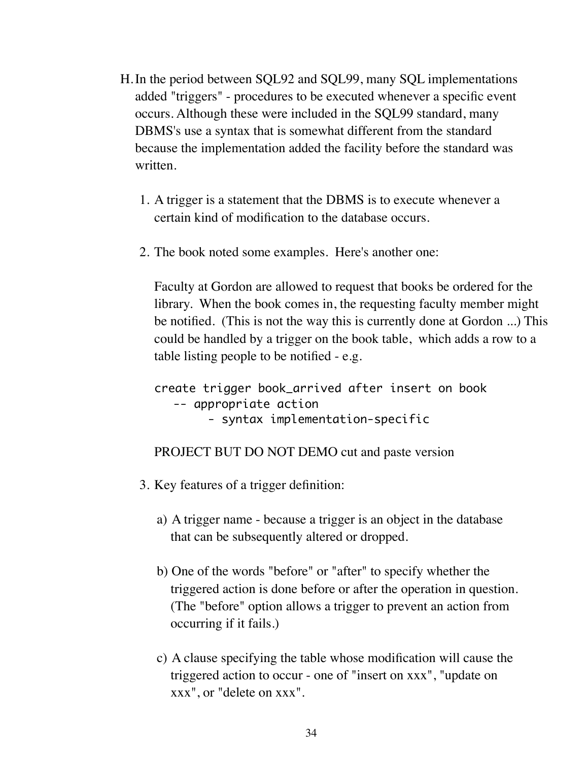- H.In the period between SQL92 and SQL99, many SQL implementations added "triggers" - procedures to be executed whenever a specific event occurs. Although these were included in the SQL99 standard, many DBMS's use a syntax that is somewhat different from the standard because the implementation added the facility before the standard was written.
	- 1. A trigger is a statement that the DBMS is to execute whenever a certain kind of modification to the database occurs.
	- 2. The book noted some examples. Here's another one:

Faculty at Gordon are allowed to request that books be ordered for the library. When the book comes in, the requesting faculty member might be notified. (This is not the way this is currently done at Gordon ...) This could be handled by a trigger on the book table, which adds a row to a table listing people to be notified - e.g.

create trigger book\_arrived after insert on book -- appropriate action - syntax implementation-specific

PROJECT BUT DO NOT DEMO cut and paste version

- 3. Key features of a trigger definition:
	- a) A trigger name because a trigger is an object in the database that can be subsequently altered or dropped.
	- b) One of the words "before" or "after" to specify whether the triggered action is done before or after the operation in question. (The "before" option allows a trigger to prevent an action from occurring if it fails.)
	- c) A clause specifying the table whose modification will cause the triggered action to occur - one of "insert on xxx", "update on xxx", or "delete on xxx".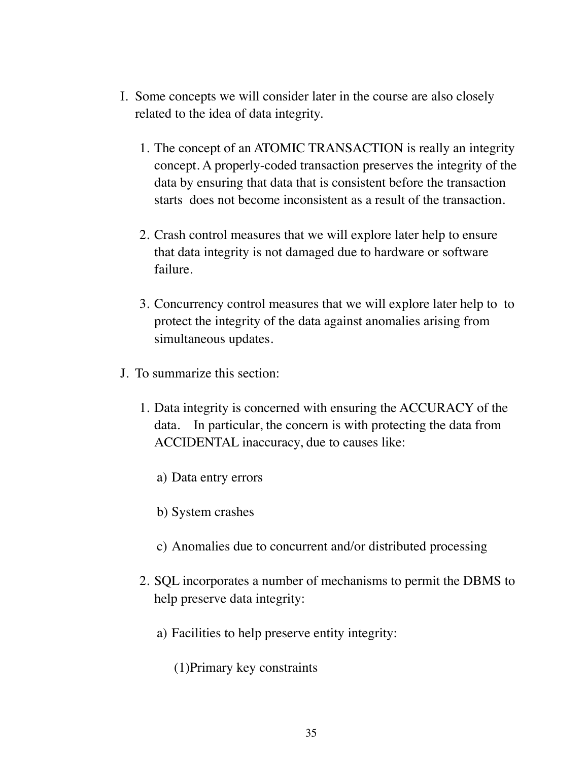- I. Some concepts we will consider later in the course are also closely related to the idea of data integrity.
	- 1. The concept of an ATOMIC TRANSACTION is really an integrity concept. A properly-coded transaction preserves the integrity of the data by ensuring that data that is consistent before the transaction starts does not become inconsistent as a result of the transaction.
	- 2. Crash control measures that we will explore later help to ensure that data integrity is not damaged due to hardware or software failure.
	- 3. Concurrency control measures that we will explore later help to to protect the integrity of the data against anomalies arising from simultaneous updates.
- J. To summarize this section:
	- 1. Data integrity is concerned with ensuring the ACCURACY of the data. In particular, the concern is with protecting the data from ACCIDENTAL inaccuracy, due to causes like:
		- a) Data entry errors
		- b) System crashes
		- c) Anomalies due to concurrent and/or distributed processing
	- 2. SQL incorporates a number of mechanisms to permit the DBMS to help preserve data integrity:
		- a) Facilities to help preserve entity integrity:
			- (1)Primary key constraints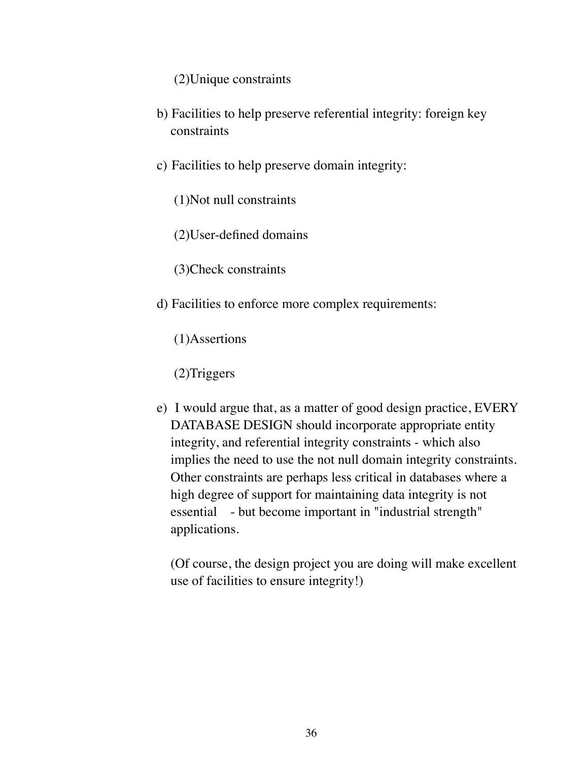(2)Unique constraints

- b) Facilities to help preserve referential integrity: foreign key constraints
- c) Facilities to help preserve domain integrity:
	- (1)Not null constraints
	- (2)User-defined domains
	- (3)Check constraints
- d) Facilities to enforce more complex requirements:
	- (1)Assertions
	- (2)Triggers
- e) I would argue that, as a matter of good design practice, EVERY DATABASE DESIGN should incorporate appropriate entity integrity, and referential integrity constraints - which also implies the need to use the not null domain integrity constraints. Other constraints are perhaps less critical in databases where a high degree of support for maintaining data integrity is not essential - but become important in "industrial strength" applications.

(Of course, the design project you are doing will make excellent use of facilities to ensure integrity!)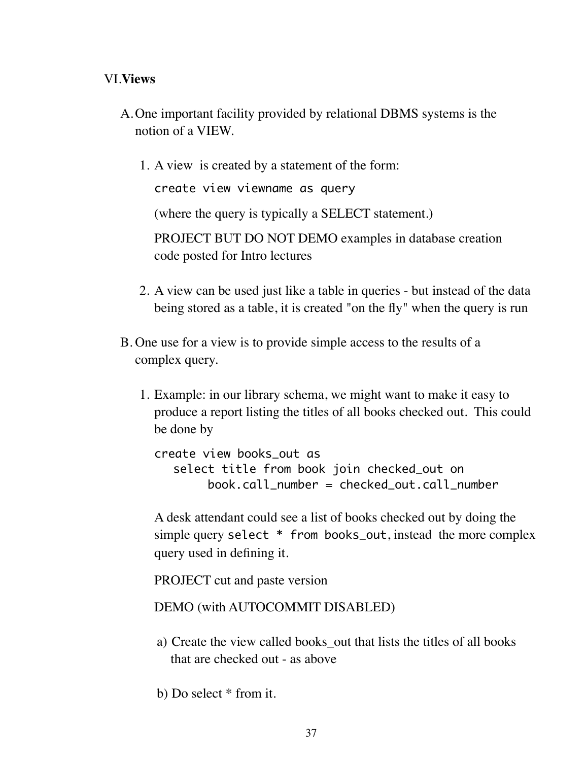## VI.**Views**

- A.One important facility provided by relational DBMS systems is the notion of a VIEW.
	- 1. A view is created by a statement of the form:

create view viewname as query

(where the query is typically a SELECT statement.)

PROJECT BUT DO NOT DEMO examples in database creation code posted for Intro lectures

- 2. A view can be used just like a table in queries but instead of the data being stored as a table, it is created "on the fly" when the query is run
- B. One use for a view is to provide simple access to the results of a complex query.
	- 1. Example: in our library schema, we might want to make it easy to produce a report listing the titles of all books checked out. This could be done by

create view books\_out as select title from book join checked\_out on book.call\_number = checked\_out.call\_number

A desk attendant could see a list of books checked out by doing the simple query select \* from books\_out, instead the more complex query used in defining it.

PROJECT cut and paste version

### DEMO (with AUTOCOMMIT DISABLED)

- a) Create the view called books out that lists the titles of all books that are checked out - as above
- b) Do select \* from it.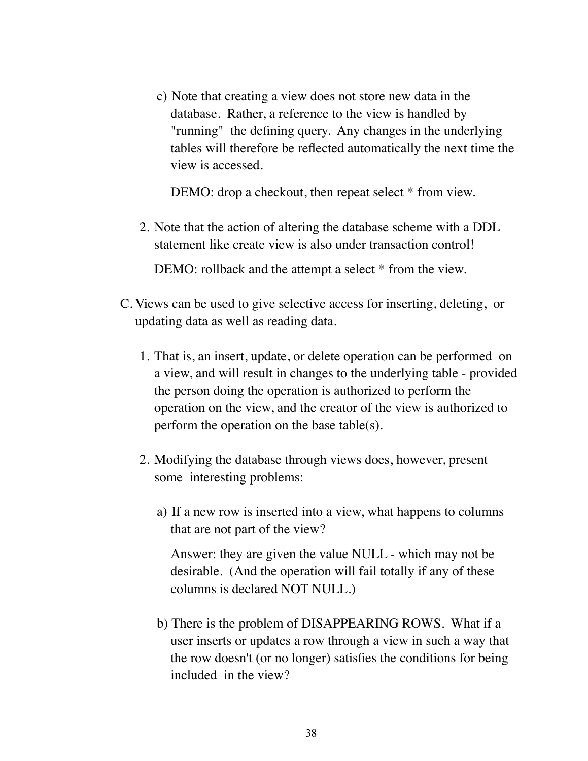c) Note that creating a view does not store new data in the database. Rather, a reference to the view is handled by "running" the defining query. Any changes in the underlying tables will therefore be reflected automatically the next time the view is accessed.

DEMO: drop a checkout, then repeat select  $*$  from view.

2. Note that the action of altering the database scheme with a DDL statement like create view is also under transaction control!

DEMO: rollback and the attempt a select  $*$  from the view.

- C. Views can be used to give selective access for inserting, deleting, or updating data as well as reading data.
	- 1. That is, an insert, update, or delete operation can be performed on a view, and will result in changes to the underlying table - provided the person doing the operation is authorized to perform the operation on the view, and the creator of the view is authorized to perform the operation on the base table(s).
	- 2. Modifying the database through views does, however, present some interesting problems:
		- a) If a new row is inserted into a view, what happens to columns that are not part of the view?

Answer: they are given the value NULL - which may not be desirable. (And the operation will fail totally if any of these columns is declared NOT NULL.)

b) There is the problem of DISAPPEARING ROWS. What if a user inserts or updates a row through a view in such a way that the row doesn't (or no longer) satisfies the conditions for being included in the view?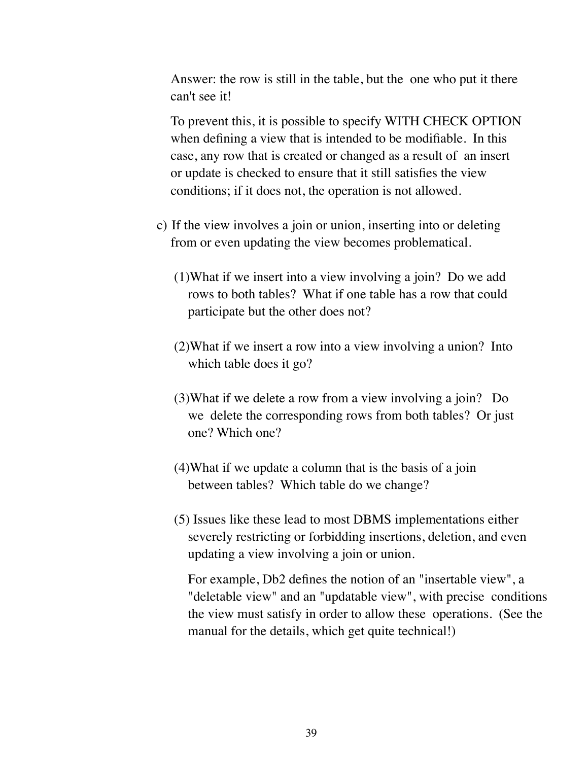Answer: the row is still in the table, but the one who put it there can't see it!

To prevent this, it is possible to specify WITH CHECK OPTION when defining a view that is intended to be modifiable. In this case, any row that is created or changed as a result of an insert or update is checked to ensure that it still satisfies the view conditions; if it does not, the operation is not allowed.

- c) If the view involves a join or union, inserting into or deleting from or even updating the view becomes problematical.
	- (1)What if we insert into a view involving a join? Do we add rows to both tables? What if one table has a row that could participate but the other does not?
	- (2)What if we insert a row into a view involving a union? Into which table does it go?
	- (3)What if we delete a row from a view involving a join? Do we delete the corresponding rows from both tables? Or just one? Which one?
	- (4)What if we update a column that is the basis of a join between tables? Which table do we change?
	- (5) Issues like these lead to most DBMS implementations either severely restricting or forbidding insertions, deletion, and even updating a view involving a join or union.

For example, Db2 defines the notion of an "insertable view", a "deletable view" and an "updatable view", with precise conditions the view must satisfy in order to allow these operations. (See the manual for the details, which get quite technical!)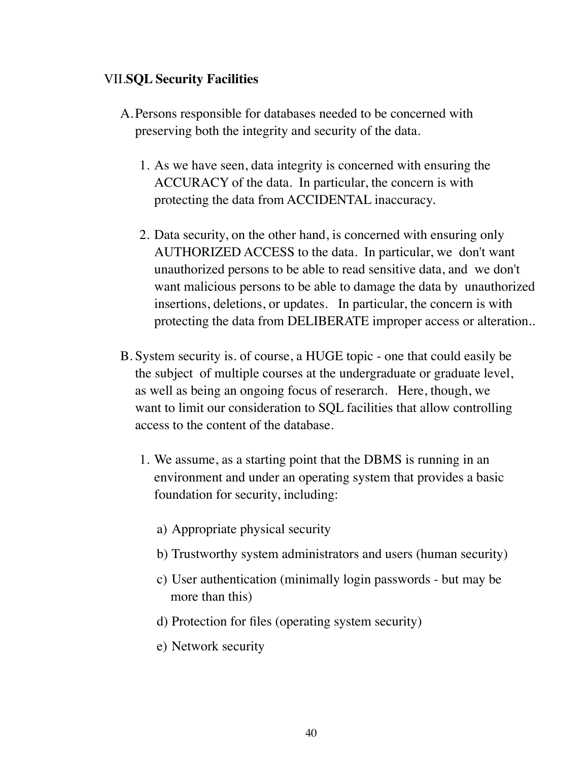## VII.**SQL Security Facilities**

- A.Persons responsible for databases needed to be concerned with preserving both the integrity and security of the data.
	- 1. As we have seen, data integrity is concerned with ensuring the ACCURACY of the data. In particular, the concern is with protecting the data from ACCIDENTAL inaccuracy.
	- 2. Data security, on the other hand, is concerned with ensuring only AUTHORIZED ACCESS to the data. In particular, we don't want unauthorized persons to be able to read sensitive data, and we don't want malicious persons to be able to damage the data by unauthorized insertions, deletions, or updates. In particular, the concern is with protecting the data from DELIBERATE improper access or alteration..
- B. System security is. of course, a HUGE topic one that could easily be the subject of multiple courses at the undergraduate or graduate level, as well as being an ongoing focus of reserarch. Here, though, we want to limit our consideration to SQL facilities that allow controlling access to the content of the database.
	- 1. We assume, as a starting point that the DBMS is running in an environment and under an operating system that provides a basic foundation for security, including:
		- a) Appropriate physical security
		- b) Trustworthy system administrators and users (human security)
		- c) User authentication (minimally login passwords but may be more than this)
		- d) Protection for files (operating system security)
		- e) Network security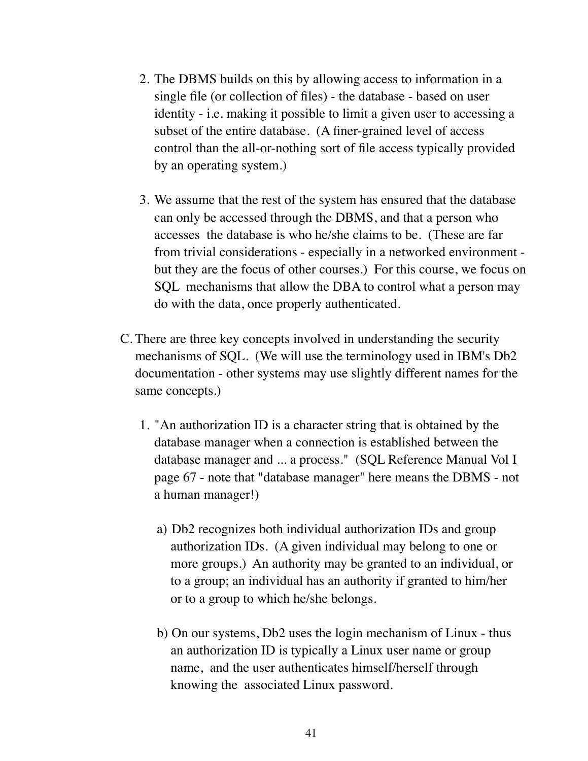- 2. The DBMS builds on this by allowing access to information in a single file (or collection of files) - the database - based on user identity - i.e. making it possible to limit a given user to accessing a subset of the entire database. (A finer-grained level of access control than the all-or-nothing sort of file access typically provided by an operating system.)
- 3. We assume that the rest of the system has ensured that the database can only be accessed through the DBMS, and that a person who accesses the database is who he/she claims to be. (These are far from trivial considerations - especially in a networked environment but they are the focus of other courses.) For this course, we focus on SQL mechanisms that allow the DBA to control what a person may do with the data, once properly authenticated.
- C. There are three key concepts involved in understanding the security mechanisms of SQL. (We will use the terminology used in IBM's Db2 documentation - other systems may use slightly different names for the same concepts.)
	- 1. "An authorization ID is a character string that is obtained by the database manager when a connection is established between the database manager and ... a process." (SQL Reference Manual Vol I page 67 - note that "database manager" here means the DBMS - not a human manager!)
		- a) Db2 recognizes both individual authorization IDs and group authorization IDs. (A given individual may belong to one or more groups.) An authority may be granted to an individual, or to a group; an individual has an authority if granted to him/her or to a group to which he/she belongs.
		- b) On our systems, Db2 uses the login mechanism of Linux thus an authorization ID is typically a Linux user name or group name, and the user authenticates himself/herself through knowing the associated Linux password.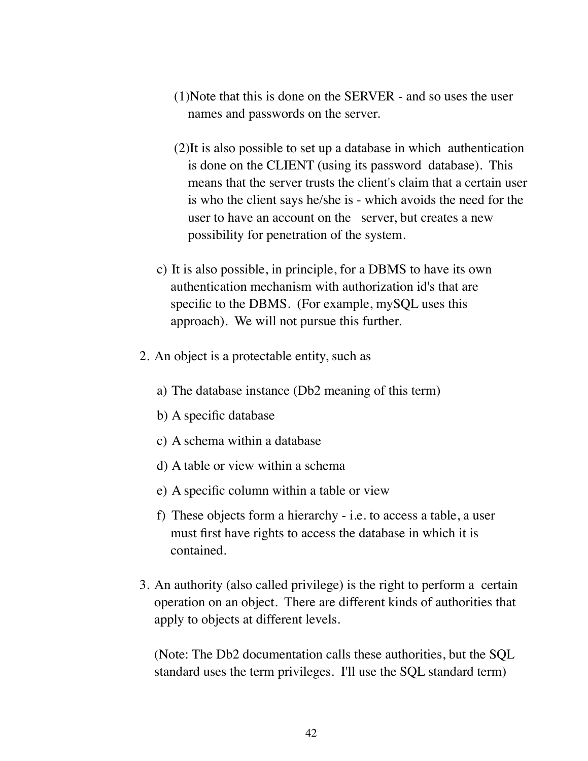- (1)Note that this is done on the SERVER and so uses the user names and passwords on the server.
- (2)It is also possible to set up a database in which authentication is done on the CLIENT (using its password database). This means that the server trusts the client's claim that a certain user is who the client says he/she is - which avoids the need for the user to have an account on the server, but creates a new possibility for penetration of the system.
- c) It is also possible, in principle, for a DBMS to have its own authentication mechanism with authorization id's that are specific to the DBMS. (For example, mySQL uses this approach). We will not pursue this further.
- 2. An object is a protectable entity, such as
	- a) The database instance (Db2 meaning of this term)
	- b) A specific database
	- c) A schema within a database
	- d) A table or view within a schema
	- e) A specific column within a table or view
	- f) These objects form a hierarchy i.e. to access a table, a user must first have rights to access the database in which it is contained.
- 3. An authority (also called privilege) is the right to perform a certain operation on an object. There are different kinds of authorities that apply to objects at different levels.

(Note: The Db2 documentation calls these authorities, but the SQL standard uses the term privileges. I'll use the SQL standard term)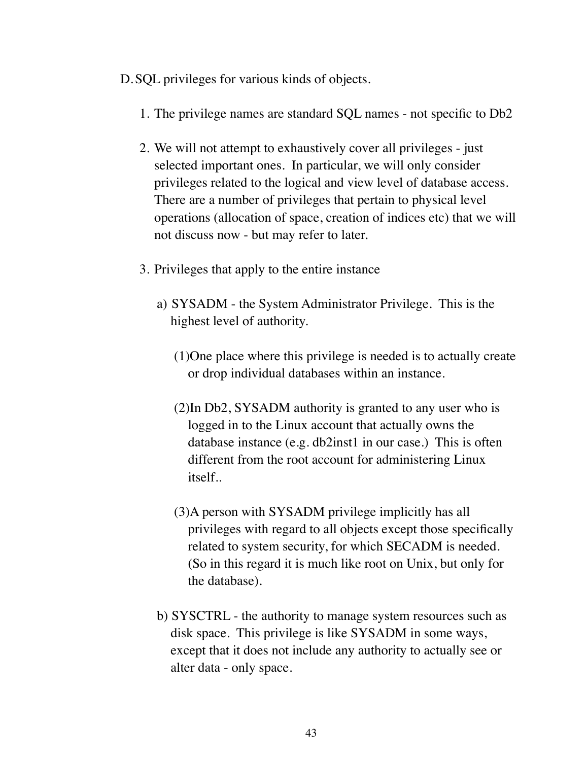D.SQL privileges for various kinds of objects.

- 1. The privilege names are standard SQL names not specific to Db2
- 2. We will not attempt to exhaustively cover all privileges just selected important ones. In particular, we will only consider privileges related to the logical and view level of database access. There are a number of privileges that pertain to physical level operations (allocation of space, creation of indices etc) that we will not discuss now - but may refer to later.
- 3. Privileges that apply to the entire instance
	- a) SYSADM the System Administrator Privilege. This is the highest level of authority.
		- (1)One place where this privilege is needed is to actually create or drop individual databases within an instance.
		- (2)In Db2, SYSADM authority is granted to any user who is logged in to the Linux account that actually owns the database instance (e.g. db2inst1 in our case.) This is often different from the root account for administering Linux itself..
		- (3)A person with SYSADM privilege implicitly has all privileges with regard to all objects except those specifically related to system security, for which SECADM is needed. (So in this regard it is much like root on Unix, but only for the database).
	- b) SYSCTRL the authority to manage system resources such as disk space. This privilege is like SYSADM in some ways, except that it does not include any authority to actually see or alter data - only space.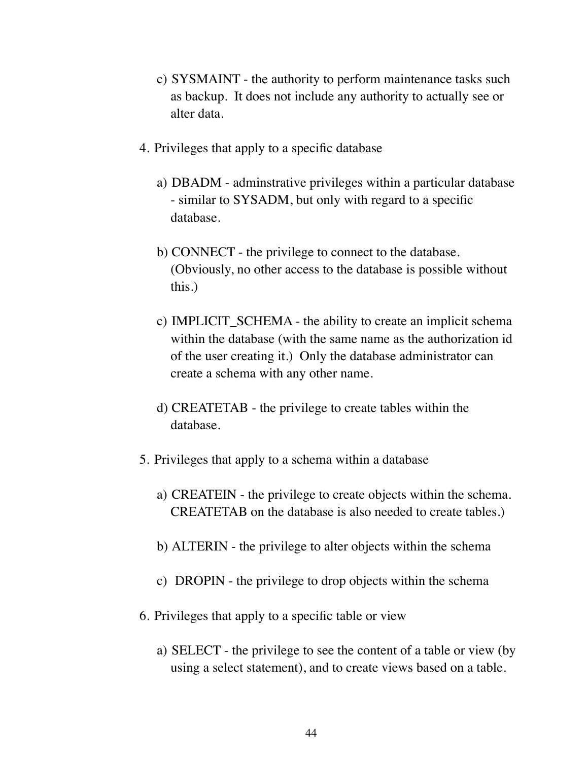- c) SYSMAINT the authority to perform maintenance tasks such as backup. It does not include any authority to actually see or alter data.
- 4. Privileges that apply to a specific database
	- a) DBADM adminstrative privileges within a particular database - similar to SYSADM, but only with regard to a specific database.
	- b) CONNECT the privilege to connect to the database. (Obviously, no other access to the database is possible without this.)
	- c) IMPLICIT\_SCHEMA the ability to create an implicit schema within the database (with the same name as the authorization id of the user creating it.) Only the database administrator can create a schema with any other name.
	- d) CREATETAB the privilege to create tables within the database.
- 5. Privileges that apply to a schema within a database
	- a) CREATEIN the privilege to create objects within the schema. CREATETAB on the database is also needed to create tables.)
	- b) ALTERIN the privilege to alter objects within the schema
	- c) DROPIN the privilege to drop objects within the schema
- 6. Privileges that apply to a specific table or view
	- a) SELECT the privilege to see the content of a table or view (by using a select statement), and to create views based on a table.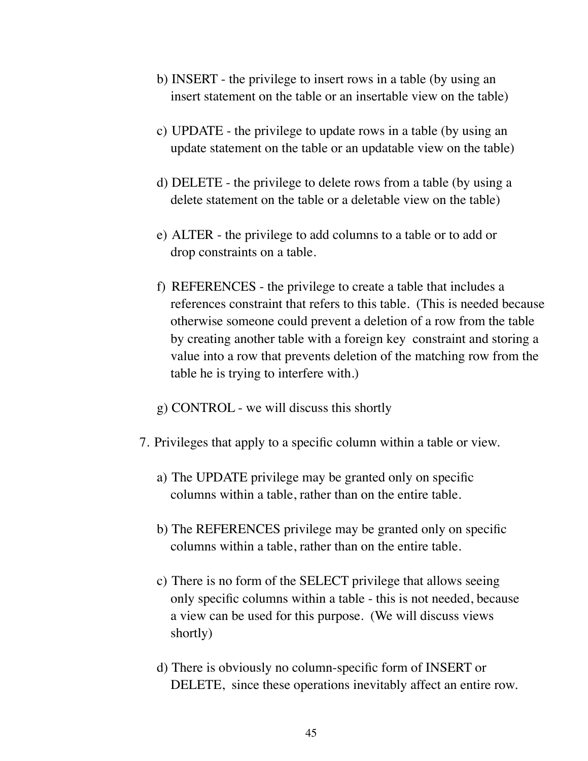- b) INSERT the privilege to insert rows in a table (by using an insert statement on the table or an insertable view on the table)
- c) UPDATE the privilege to update rows in a table (by using an update statement on the table or an updatable view on the table)
- d) DELETE the privilege to delete rows from a table (by using a delete statement on the table or a deletable view on the table)
- e) ALTER the privilege to add columns to a table or to add or drop constraints on a table.
- f) REFERENCES the privilege to create a table that includes a references constraint that refers to this table. (This is needed because otherwise someone could prevent a deletion of a row from the table by creating another table with a foreign key constraint and storing a value into a row that prevents deletion of the matching row from the table he is trying to interfere with.)
- g) CONTROL we will discuss this shortly
- 7. Privileges that apply to a specific column within a table or view.
	- a) The UPDATE privilege may be granted only on specific columns within a table, rather than on the entire table.
	- b) The REFERENCES privilege may be granted only on specific columns within a table, rather than on the entire table.
	- c) There is no form of the SELECT privilege that allows seeing only specific columns within a table - this is not needed, because a view can be used for this purpose. (We will discuss views shortly)
	- d) There is obviously no column-specific form of INSERT or DELETE, since these operations inevitably affect an entire row.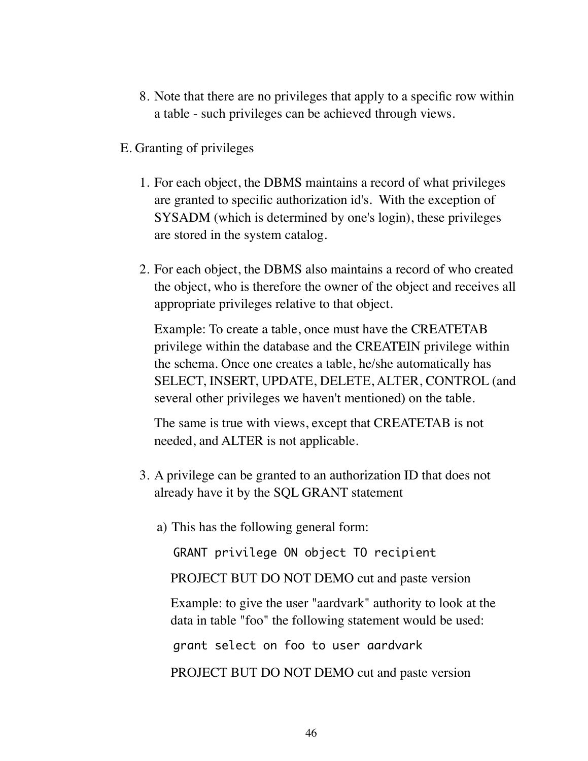- 8. Note that there are no privileges that apply to a specific row within a table - such privileges can be achieved through views.
- E. Granting of privileges
	- 1. For each object, the DBMS maintains a record of what privileges are granted to specific authorization id's. With the exception of SYSADM (which is determined by one's login), these privileges are stored in the system catalog.
	- 2. For each object, the DBMS also maintains a record of who created the object, who is therefore the owner of the object and receives all appropriate privileges relative to that object.

Example: To create a table, once must have the CREATETAB privilege within the database and the CREATEIN privilege within the schema. Once one creates a table, he/she automatically has SELECT, INSERT, UPDATE, DELETE, ALTER, CONTROL (and several other privileges we haven't mentioned) on the table.

The same is true with views, except that CREATETAB is not needed, and ALTER is not applicable.

- 3. A privilege can be granted to an authorization ID that does not already have it by the SQL GRANT statement
	- a) This has the following general form:

GRANT privilege ON object TO recipient

PROJECT BUT DO NOT DEMO cut and paste version

Example: to give the user "aardvark" authority to look at the data in table "foo" the following statement would be used:

grant select on foo to user aardvark

PROJECT BUT DO NOT DEMO cut and paste version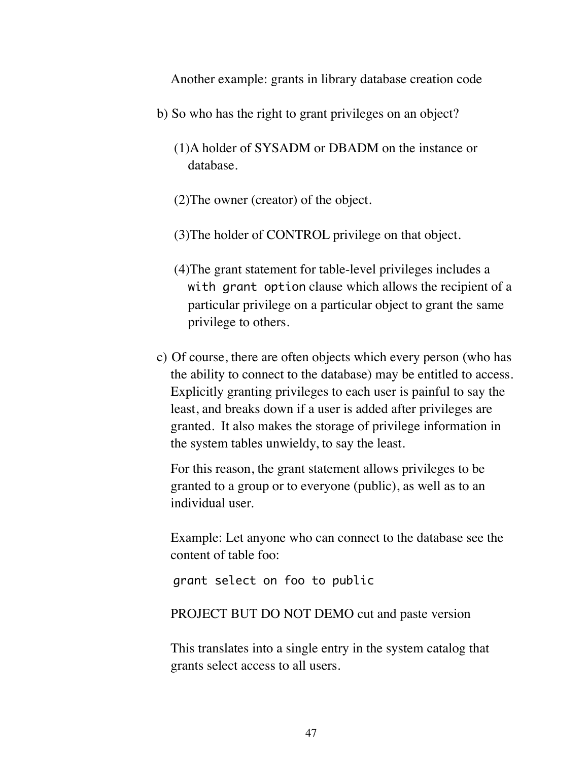Another example: grants in library database creation code

- b) So who has the right to grant privileges on an object?
	- (1)A holder of SYSADM or DBADM on the instance or database.
	- (2)The owner (creator) of the object.
	- (3)The holder of CONTROL privilege on that object.
	- (4)The grant statement for table-level privileges includes a with grant option clause which allows the recipient of a particular privilege on a particular object to grant the same privilege to others.
- c) Of course, there are often objects which every person (who has the ability to connect to the database) may be entitled to access. Explicitly granting privileges to each user is painful to say the least, and breaks down if a user is added after privileges are granted. It also makes the storage of privilege information in the system tables unwieldy, to say the least.

For this reason, the grant statement allows privileges to be granted to a group or to everyone (public), as well as to an individual user.

Example: Let anyone who can connect to the database see the content of table foo:

grant select on foo to public

#### PROJECT BUT DO NOT DEMO cut and paste version

This translates into a single entry in the system catalog that grants select access to all users.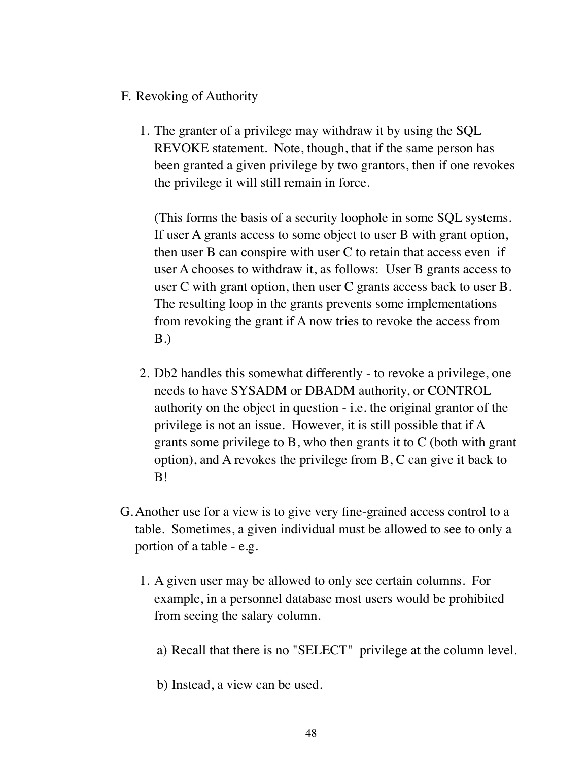- F. Revoking of Authority
	- 1. The granter of a privilege may withdraw it by using the SQL REVOKE statement. Note, though, that if the same person has been granted a given privilege by two grantors, then if one revokes the privilege it will still remain in force.

(This forms the basis of a security loophole in some SQL systems. If user A grants access to some object to user B with grant option, then user B can conspire with user C to retain that access even if user A chooses to withdraw it, as follows: User B grants access to user C with grant option, then user C grants access back to user B. The resulting loop in the grants prevents some implementations from revoking the grant if A now tries to revoke the access from B.)

- 2. Db2 handles this somewhat differently to revoke a privilege, one needs to have SYSADM or DBADM authority, or CONTROL authority on the object in question - i.e. the original grantor of the privilege is not an issue. However, it is still possible that if A grants some privilege to B, who then grants it to C (both with grant option), and A revokes the privilege from B, C can give it back to B!
- G.Another use for a view is to give very fine-grained access control to a table. Sometimes, a given individual must be allowed to see to only a portion of a table - e.g.
	- 1. A given user may be allowed to only see certain columns. For example, in a personnel database most users would be prohibited from seeing the salary column.
		- a) Recall that there is no "SELECT" privilege at the column level.
		- b) Instead, a view can be used.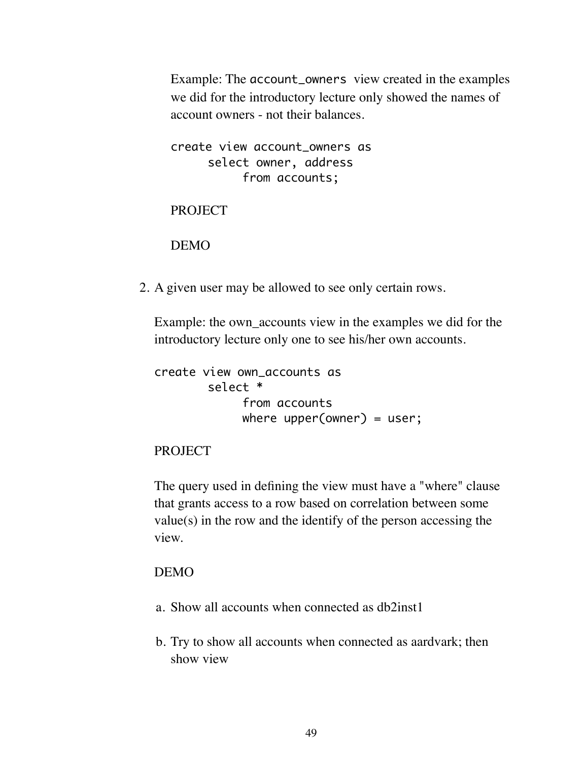Example: The account\_owners view created in the examples we did for the introductory lecture only showed the names of account owners - not their balances.

create view account\_owners as select owner, address from accounts;

PROJECT

DEMO

2. A given user may be allowed to see only certain rows.

Example: the own\_accounts view in the examples we did for the introductory lecture only one to see his/her own accounts.

```
create view own_accounts as
       select *
            from accounts
            where upper(owner) = user;
```
#### PROJECT

The query used in defining the view must have a "where" clause that grants access to a row based on correlation between some value(s) in the row and the identify of the person accessing the view.

### DEMO

- a. Show all accounts when connected as db2inst1
- b. Try to show all accounts when connected as aardvark; then show view